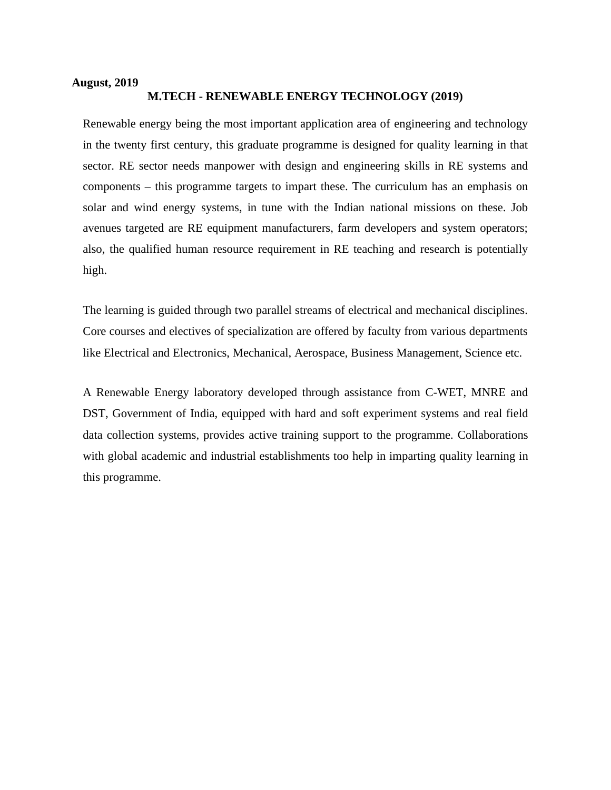#### **August, 2019**

## **M.TECH - RENEWABLE ENERGY TECHNOLOGY (2019)**

Renewable energy being the most important application area of engineering and technology in the twenty first century, this graduate programme is designed for quality learning in that sector. RE sector needs manpower with design and engineering skills in RE systems and components – this programme targets to impart these. The curriculum has an emphasis on solar and wind energy systems, in tune with the Indian national missions on these. Job avenues targeted are RE equipment manufacturers, farm developers and system operators; also, the qualified human resource requirement in RE teaching and research is potentially high.

The learning is guided through two parallel streams of electrical and mechanical disciplines. Core courses and electives of specialization are offered by faculty from various departments like Electrical and Electronics, Mechanical, Aerospace, Business Management, Science etc.

A Renewable Energy laboratory developed through assistance from C-WET, MNRE and DST, Government of India, equipped with hard and soft experiment systems and real field data collection systems, provides active training support to the programme. Collaborations with global academic and industrial establishments too help in imparting quality learning in this programme.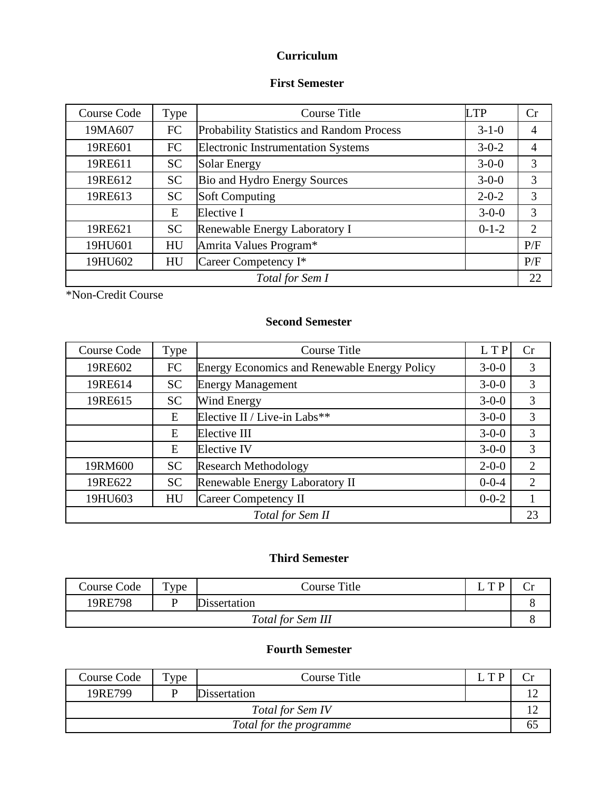# **Curriculum**

## **First Semester**

| Course Code           | Type      | <b>Course Title</b>                              | <b>LTP</b>  | Cr  |
|-----------------------|-----------|--------------------------------------------------|-------------|-----|
| 19MA607               | <b>FC</b> | <b>Probability Statistics and Random Process</b> | $3 - 1 - 0$ |     |
| 19RE601               | FC        | <b>Electronic Instrumentation Systems</b>        | $3 - 0 - 2$ |     |
| 19RE611               | <b>SC</b> | <b>Solar Energy</b>                              | $3-0-0$     | 3   |
| 19RE612               | <b>SC</b> | Bio and Hydro Energy Sources                     | $3-0-0$     | 3   |
| 19RE613               | <b>SC</b> | <b>Soft Computing</b>                            | $2 - 0 - 2$ | 3   |
|                       | E         | Elective I                                       | $3-0-0$     | 3   |
| 19RE621               | <b>SC</b> | Renewable Energy Laboratory I                    | $0-1-2$     | 2   |
| 19HU601               | HU        | Amrita Values Program*                           |             | P/F |
| 19HU602               | HU        | Career Competency I*                             |             | P/F |
| 22<br>Total for Sem I |           |                                                  |             |     |

\*Non-Credit Course

# **Second Semester**

| Course Code | Type      | Course Title                                        | L T P       | Cr             |
|-------------|-----------|-----------------------------------------------------|-------------|----------------|
| 19RE602     | <b>FC</b> | <b>Energy Economics and Renewable Energy Policy</b> | $3 - 0 - 0$ | 3              |
| 19RE614     | <b>SC</b> | <b>Energy Management</b>                            | $3 - 0 - 0$ | $\overline{3}$ |
| 19RE615     | <b>SC</b> | Wind Energy                                         | $3 - 0 - 0$ | 3              |
|             | E         | Elective II / Live-in Labs**                        | $3 - 0 - 0$ | 3              |
|             | E         | Elective III                                        | $3 - 0 - 0$ | 3              |
|             | E         | <b>Elective IV</b>                                  | $3 - 0 - 0$ | $\overline{3}$ |
| 19RM600     | <b>SC</b> | <b>Research Methodology</b>                         | $2 - 0 - 0$ | 2              |
| 19RE622     | <b>SC</b> | Renewable Energy Laboratory II                      | $0 - 0 - 4$ | 2              |
| 19HU603     | HU        | <b>Career Competency II</b>                         | $0 - 0 - 2$ |                |
|             |           | Total for Sem II                                    |             | 23             |

# **Third Semester**

| Course Code | Tvpe | Course Title        | тp | ◡ |
|-------------|------|---------------------|----|---|
| 19RE798     |      | <b>Dissertation</b> |    |   |
|             |      | Total for Sem III   |    |   |

# **Fourth Semester**

| Course Code             | Tvpe | Course Title        | I TP |  |
|-------------------------|------|---------------------|------|--|
| 19RE799                 |      | <b>Dissertation</b> |      |  |
| Total for Sem IV        |      |                     |      |  |
| Total for the programme |      |                     |      |  |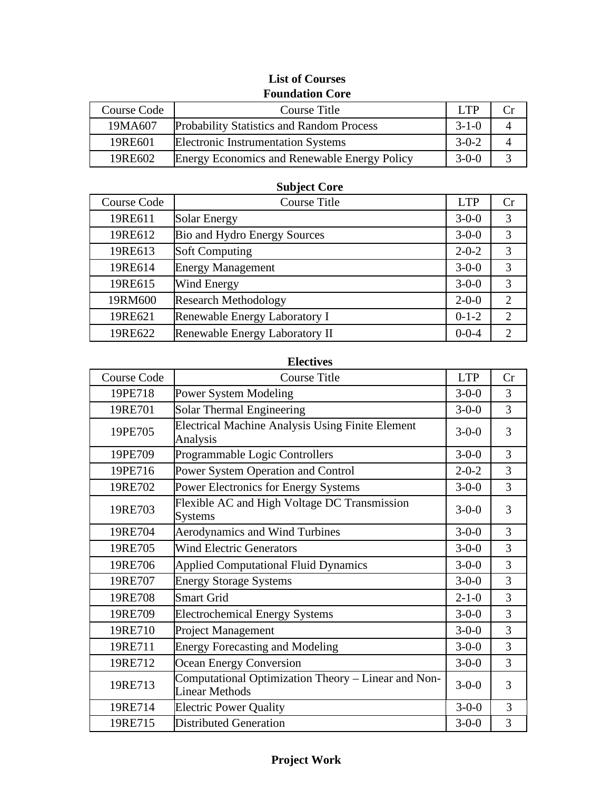| Course Code | Course Title                                        | LTP         |               |
|-------------|-----------------------------------------------------|-------------|---------------|
| 19MA607     | <b>Probability Statistics and Random Process</b>    | $3 - 1 - 0$ |               |
| 19RE601     | <b>Electronic Instrumentation Systems</b>           | $3-0-2$     |               |
| 19RE602     | <b>Energy Economics and Renewable Energy Policy</b> | $3-0-0$     | $\mathcal{R}$ |

# **List of Courses Foundation Core**

# **Subject Core**

| <b>Course Code</b> | <b>Course Title</b>            | <b>LTP</b>  | Сr                          |
|--------------------|--------------------------------|-------------|-----------------------------|
| 19RE611            | Solar Energy                   | $3 - 0 - 0$ | 3                           |
| 19RE612            | Bio and Hydro Energy Sources   | $3 - 0 - 0$ | 3                           |
| 19RE613            | <b>Soft Computing</b>          | $2 - 0 - 2$ | 3                           |
| 19RE614            | <b>Energy Management</b>       | $3 - 0 - 0$ | 3                           |
| 19RE615            | Wind Energy                    | $3 - 0 - 0$ | 3                           |
| 19RM600            | <b>Research Methodology</b>    | $2 - 0 - 0$ | $\mathcal{D}$               |
| 19RE621            | Renewable Energy Laboratory I  | $0-1-2$     | $\mathcal{D}_{\mathcal{L}}$ |
| 19RE622            | Renewable Energy Laboratory II | $0 - 0 - 4$ |                             |

#### **Electives**

| <b>Course Code</b> | <b>Course Title</b>                                                          | <b>LTP</b>  | Cr |
|--------------------|------------------------------------------------------------------------------|-------------|----|
| 19PE718            | <b>Power System Modeling</b>                                                 | $3 - 0 - 0$ | 3  |
| 19RE701            | Solar Thermal Engineering                                                    | $3-0-0$     | 3  |
| 19PE705            | <b>Electrical Machine Analysis Using Finite Element</b><br>Analysis          | $3 - 0 - 0$ | 3  |
| 19PE709            | Programmable Logic Controllers                                               | $3 - 0 - 0$ | 3  |
| 19PE716            | Power System Operation and Control                                           | $2 - 0 - 2$ | 3  |
| 19RE702            | Power Electronics for Energy Systems                                         | $3 - 0 - 0$ | 3  |
| 19RE703            | Flexible AC and High Voltage DC Transmission<br><b>Systems</b>               | $3 - 0 - 0$ | 3  |
| 19RE704            | <b>Aerodynamics and Wind Turbines</b>                                        | $3 - 0 - 0$ | 3  |
| 19RE705            | <b>Wind Electric Generators</b>                                              | $3 - 0 - 0$ | 3  |
| 19RE706            | <b>Applied Computational Fluid Dynamics</b>                                  | $3 - 0 - 0$ | 3  |
| 19RE707            | <b>Energy Storage Systems</b>                                                | $3 - 0 - 0$ | 3  |
| 19RE708            | <b>Smart Grid</b>                                                            | $2 - 1 - 0$ | 3  |
| 19RE709            | <b>Electrochemical Energy Systems</b>                                        | $3 - 0 - 0$ | 3  |
| 19RE710            | <b>Project Management</b>                                                    | $3 - 0 - 0$ | 3  |
| 19RE711            | <b>Energy Forecasting and Modeling</b>                                       | $3 - 0 - 0$ | 3  |
| 19RE712            | Ocean Energy Conversion                                                      | $3-0-0$     | 3  |
| 19RE713            | Computational Optimization Theory - Linear and Non-<br><b>Linear Methods</b> | $3 - 0 - 0$ | 3  |
| 19RE714            | <b>Electric Power Quality</b>                                                | $3 - 0 - 0$ | 3  |
| 19RE715            | <b>Distributed Generation</b>                                                | $3 - 0 - 0$ | 3  |

# **Project Work**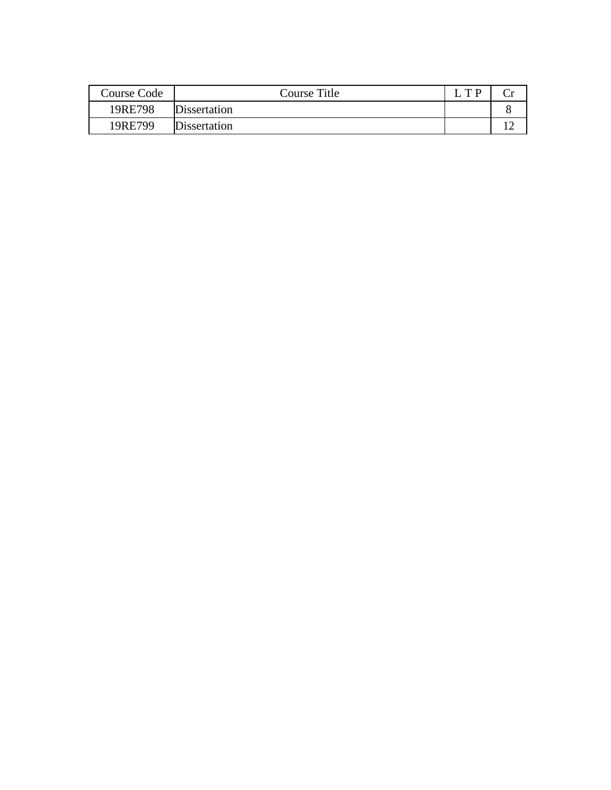| Course Code | Course Title        | T D |  |
|-------------|---------------------|-----|--|
| 19RE798     | <b>Dissertation</b> |     |  |
| 19RE799     | <b>Dissertation</b> |     |  |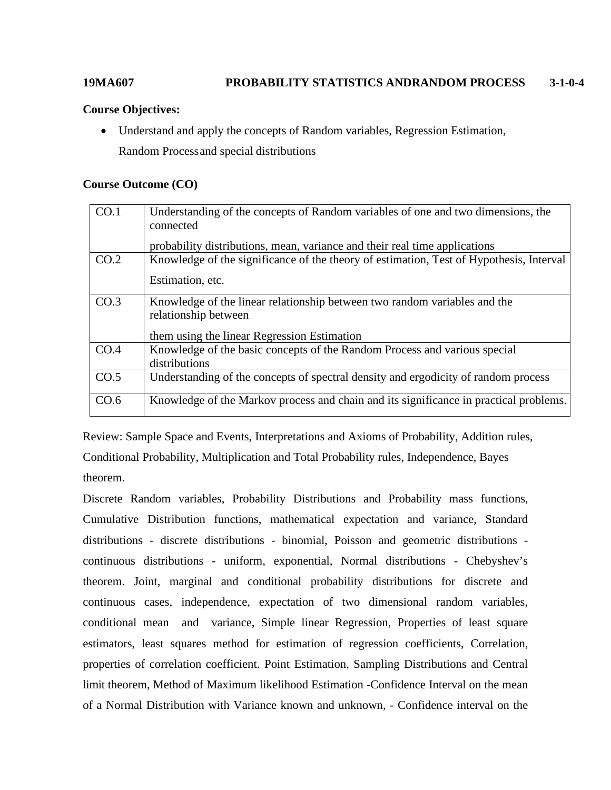# **19MA607 PROBABILITY STATISTICS ANDRANDOM PROCESS 3-1-0-4**

#### **Course Objectives:**

• Understand and apply the concepts of Random variables, Regression Estimation, Random Processand special distributions

#### **Course Outcome (CO)**

| CO.1 | Understanding of the concepts of Random variables of one and two dimensions, the<br>connected<br>probability distributions, mean, variance and their real time applications |
|------|-----------------------------------------------------------------------------------------------------------------------------------------------------------------------------|
| CO.2 | Knowledge of the significance of the theory of estimation, Test of Hypothesis, Interval<br>Estimation, etc.                                                                 |
| CO.3 | Knowledge of the linear relationship between two random variables and the<br>relationship between<br>them using the linear Regression Estimation                            |
| CO.4 | Knowledge of the basic concepts of the Random Process and various special<br>distributions                                                                                  |
| CO.5 | Understanding of the concepts of spectral density and ergodicity of random process                                                                                          |
| CO.6 | Knowledge of the Markov process and chain and its significance in practical problems.                                                                                       |

Review: Sample Space and Events, Interpretations and Axioms of Probability, Addition rules, Conditional Probability, Multiplication and Total Probability rules, Independence, Bayes theorem.

Discrete Random variables, Probability Distributions and Probability mass functions, Cumulative Distribution functions, mathematical expectation and variance, Standard distributions - discrete distributions - binomial, Poisson and geometric distributions continuous distributions - uniform, exponential, Normal distributions - Chebyshev's theorem. Joint, marginal and conditional probability distributions for discrete and continuous cases, independence, expectation of two dimensional random variables, conditional mean and variance, Simple linear Regression, Properties of least square estimators, least squares method for estimation of regression coefficients, Correlation, properties of correlation coefficient. Point Estimation, Sampling Distributions and Central limit theorem, Method of Maximum likelihood Estimation -Confidence Interval on the mean of a Normal Distribution with Variance known and unknown, - Confidence interval on the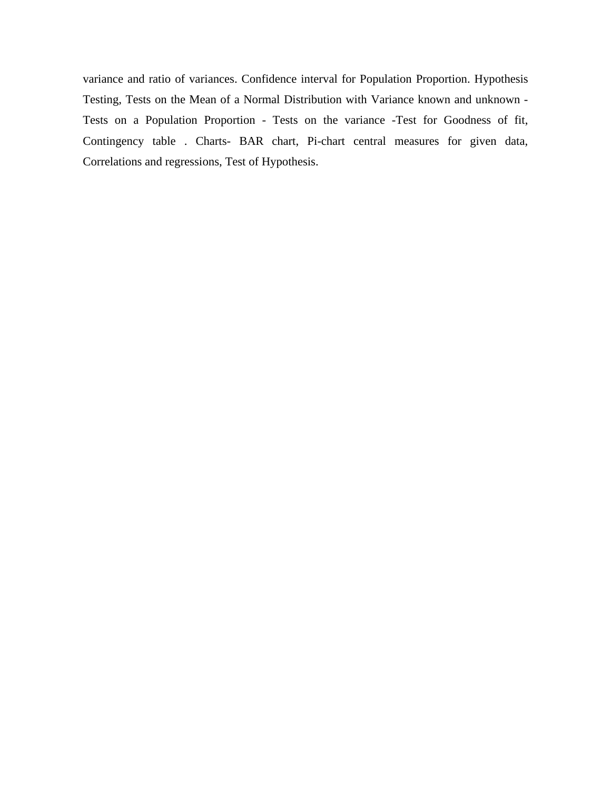variance and ratio of variances. Confidence interval for Population Proportion. Hypothesis Testing, Tests on the Mean of a Normal Distribution with Variance known and unknown - Tests on a Population Proportion - Tests on the variance -Test for Goodness of fit, Contingency table . Charts- BAR chart, Pi-chart central measures for given data, Correlations and regressions, Test of Hypothesis.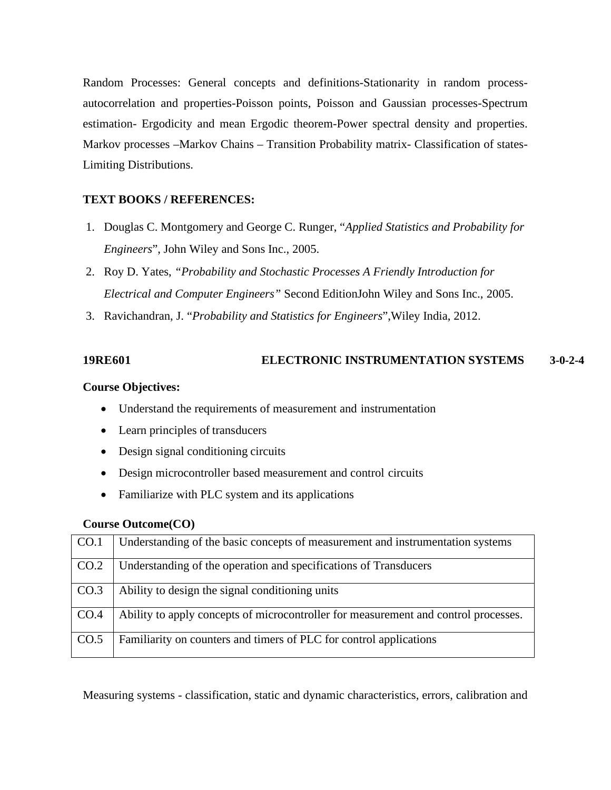Random Processes: General concepts and definitions-Stationarity in random processautocorrelation and properties-Poisson points, Poisson and Gaussian processes-Spectrum estimation- Ergodicity and mean Ergodic theorem-Power spectral density and properties. Markov processes –Markov Chains – Transition Probability matrix- Classification of states-Limiting Distributions.

# **TEXT BOOKS / REFERENCES:**

- 1. Douglas C. Montgomery and George C. Runger, "*Applied Statistics and Probability for Engineers*", John Wiley and Sons Inc., 2005.
- 2. Roy D. Yates, *"Probability and Stochastic Processes A Friendly Introduction for Electrical and Computer Engineers"* Second EditionJohn Wiley and Sons Inc., 2005.
- 3. Ravichandran, J. "*Probability and Statistics for Engineers*",Wiley India, 2012.

# **19RE601 ELECTRONIC INSTRUMENTATION SYSTEMS 3-0-2-4**

### **Course Objectives:**

- Understand the requirements of measurement and instrumentation
- Learn principles of transducers
- Design signal conditioning circuits
- Design microcontroller based measurement and control circuits
- Familiarize with PLC system and its applications

### **Course Outcome(CO)**

| CO.1 | Understanding of the basic concepts of measurement and instrumentation systems      |
|------|-------------------------------------------------------------------------------------|
| CO.2 | Understanding of the operation and specifications of Transducers                    |
| CO.3 | Ability to design the signal conditioning units                                     |
| CO.4 | Ability to apply concepts of microcontroller for measurement and control processes. |
| CO.5 | Familiarity on counters and timers of PLC for control applications                  |

Measuring systems - classification, static and dynamic characteristics, errors, calibration and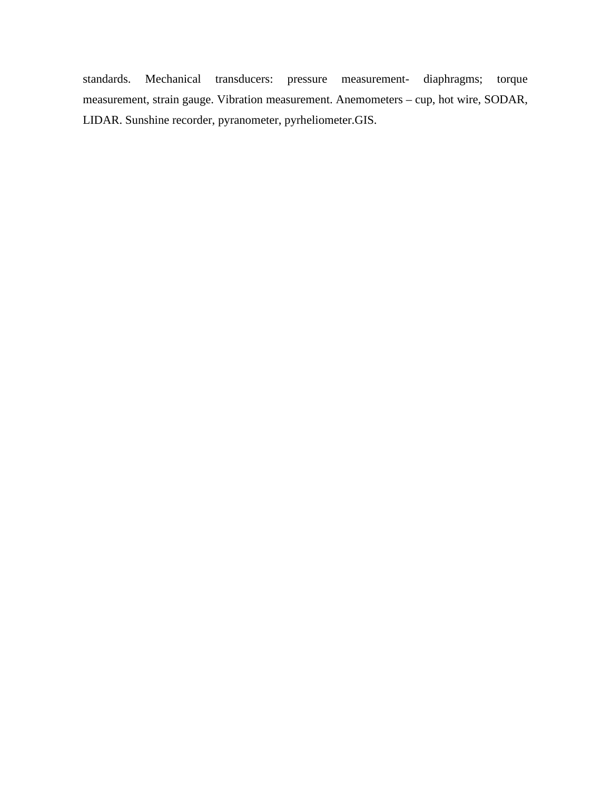standards. Mechanical transducers: pressure measurement- diaphragms; torque measurement, strain gauge. Vibration measurement. Anemometers – cup, hot wire, SODAR, LIDAR. Sunshine recorder, pyranometer, pyrheliometer.GIS.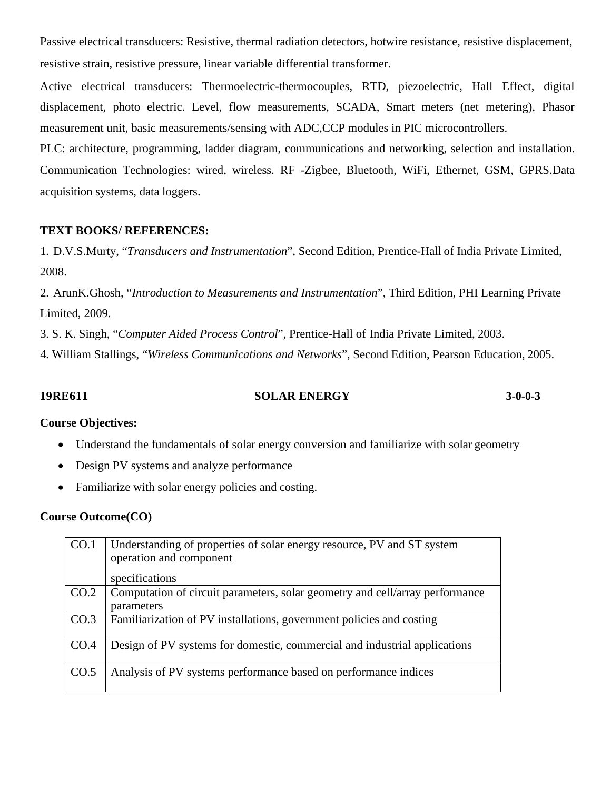Passive electrical transducers: Resistive, thermal radiation detectors, hotwire resistance, resistive displacement, resistive strain, resistive pressure, linear variable differential transformer.

Active electrical transducers: Thermoelectric-thermocouples, RTD, piezoelectric, Hall Effect, digital displacement, photo electric. Level, flow measurements, SCADA, Smart meters (net metering), Phasor measurement unit, basic measurements/sensing with ADC,CCP modules in PIC microcontrollers.

PLC: architecture, programming, ladder diagram, communications and networking, selection and installation. Communication Technologies: wired, wireless. RF -Zigbee, Bluetooth, WiFi, Ethernet, GSM, GPRS.Data acquisition systems, data loggers.

# **TEXT BOOKS/ REFERENCES:**

1. D.V.S.Murty, "*Transducers and Instrumentation*", Second Edition, Prentice-Hall of India Private Limited, 2008.

2. ArunK.Ghosh, "*Introduction to Measurements and Instrumentation*", Third Edition, PHI Learning Private Limited, 2009.

3. S. K. Singh, "*Computer Aided Process Control*", Prentice-Hall of India Private Limited, 2003.

4. William Stallings, "*Wireless Communications and Networks*", Second Edition, Pearson Education, 2005.

**19RE611 SOLAR ENERGY 3-0-0-3**

# **Course Objectives:**

- Understand the fundamentals of solar energy conversion and familiarize with solar geometry
- Design PV systems and analyze performance
- Familiarize with solar energy policies and costing.

| CO.1 | Understanding of properties of solar energy resource, PV and ST system<br>operation and component |
|------|---------------------------------------------------------------------------------------------------|
|      | specifications                                                                                    |
| CO.2 | Computation of circuit parameters, solar geometry and cell/array performance<br>parameters        |
| CO.3 | Familiarization of PV installations, government policies and costing                              |
|      |                                                                                                   |
| CO.4 | Design of PV systems for domestic, commercial and industrial applications                         |
|      |                                                                                                   |
| CO.5 | Analysis of PV systems performance based on performance indices                                   |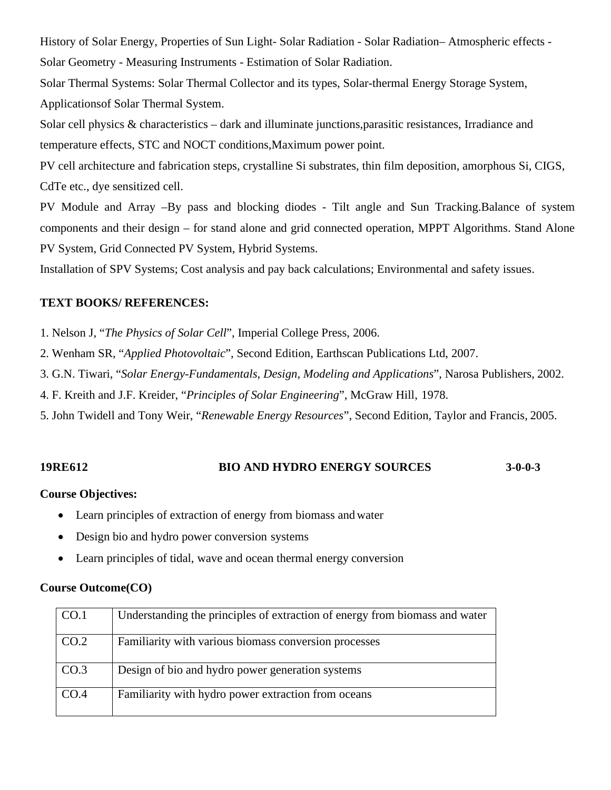History of Solar Energy, Properties of Sun Light- Solar Radiation - Solar Radiation– Atmospheric effects - Solar Geometry - Measuring Instruments - Estimation of Solar Radiation.

Solar Thermal Systems: Solar Thermal Collector and its types, Solar-thermal Energy Storage System, Applicationsof Solar Thermal System.

Solar cell physics & characteristics – dark and illuminate junctions,parasitic resistances, Irradiance and temperature effects, STC and NOCT conditions,Maximum power point.

PV cell architecture and fabrication steps, crystalline Si substrates, thin film deposition, amorphous Si, CIGS, CdTe etc., dye sensitized cell.

PV Module and Array –By pass and blocking diodes - Tilt angle and Sun Tracking.Balance of system components and their design – for stand alone and grid connected operation, MPPT Algorithms. Stand Alone PV System, Grid Connected PV System, Hybrid Systems.

Installation of SPV Systems; Cost analysis and pay back calculations; Environmental and safety issues.

# **TEXT BOOKS/ REFERENCES:**

1. Nelson J, "*The Physics of Solar Cell*", Imperial College Press, 2006.

2. Wenham SR, "*Applied Photovoltaic*", Second Edition, Earthscan Publications Ltd, 2007.

3. G.N. Tiwari, "*Solar Energy-Fundamentals, Design, Modeling and Applications*", Narosa Publishers, 2002.

4. F. Kreith and J.F. Kreider, "*Principles of Solar Engineering*", McGraw Hill, 1978.

5. John Twidell and Tony Weir, "*Renewable Energy Resources*", Second Edition, Taylor and Francis, 2005.

# **19RE612 BIO AND HYDRO ENERGY SOURCES 3-0-0-3**

# **Course Objectives:**

- Learn principles of extraction of energy from biomass and water
- Design bio and hydro power conversion systems
- Learn principles of tidal, wave and ocean thermal energy conversion

| CO.1 | Understanding the principles of extraction of energy from biomass and water |
|------|-----------------------------------------------------------------------------|
| CO.2 | Familiarity with various biomass conversion processes                       |
| CO.3 | Design of bio and hydro power generation systems                            |
| CO.4 | Familiarity with hydro power extraction from oceans                         |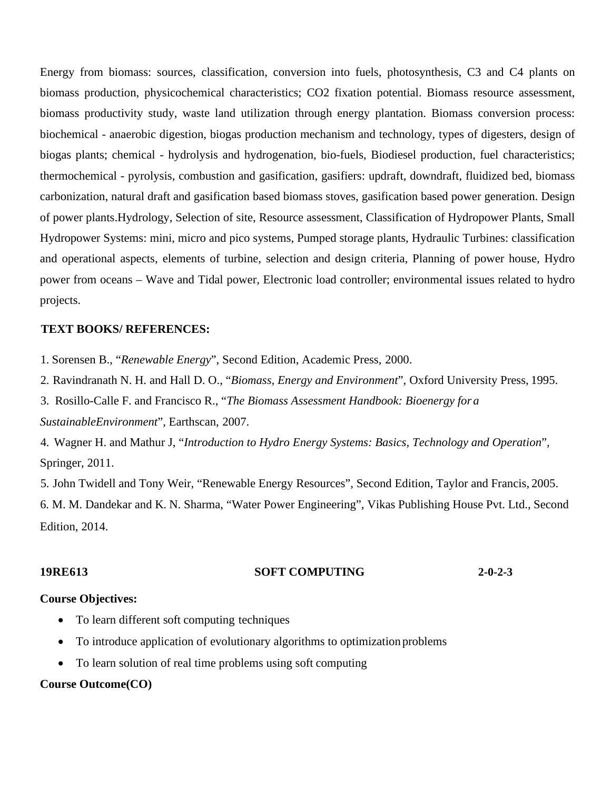Energy from biomass: sources, classification, conversion into fuels, photosynthesis, C3 and C4 plants on biomass production, physicochemical characteristics; CO2 fixation potential. Biomass resource assessment, biomass productivity study, waste land utilization through energy plantation. Biomass conversion process: biochemical - anaerobic digestion, biogas production mechanism and technology, types of digesters, design of biogas plants; chemical - hydrolysis and hydrogenation, bio-fuels, Biodiesel production, fuel characteristics; thermochemical - pyrolysis, combustion and gasification, gasifiers: updraft, downdraft, fluidized bed, biomass carbonization, natural draft and gasification based biomass stoves, gasification based power generation. Design of power plants.Hydrology, Selection of site, Resource assessment, Classification of Hydropower Plants, Small Hydropower Systems: mini, micro and pico systems, Pumped storage plants, Hydraulic Turbines: classification and operational aspects, elements of turbine, selection and design criteria, Planning of power house, Hydro power from oceans – Wave and Tidal power, Electronic load controller; environmental issues related to hydro projects.

### **TEXT BOOKS/ REFERENCES:**

1. Sorensen B., "*Renewable Energy*", Second Edition, Academic Press, 2000.

2. Ravindranath N. H. and Hall D. O., "*Biomass, Energy and Environment*", Oxford University Press, 1995.

3. Rosillo-Calle F. and Francisco R., "*The Biomass Assessment Handbook: Bioenergy for a SustainableEnvironment*", Earthscan, 2007.

4. Wagner H. and Mathur J, "*Introduction to Hydro Energy Systems: Basics, Technology and Operation*", Springer, 2011.

5. John Twidell and Tony Weir, "Renewable Energy Resources", Second Edition, Taylor and Francis, 2005. 6. M. M. Dandekar and K. N. Sharma, "Water Power Engineering", Vikas Publishing House Pvt. Ltd., Second Edition, 2014.

#### **19RE613 SOFT COMPUTING 2-0-2-3**

#### **Course Objectives:**

- To learn different soft computing techniques
- To introduce application of evolutionary algorithms to optimization problems
- To learn solution of real time problems using soft computing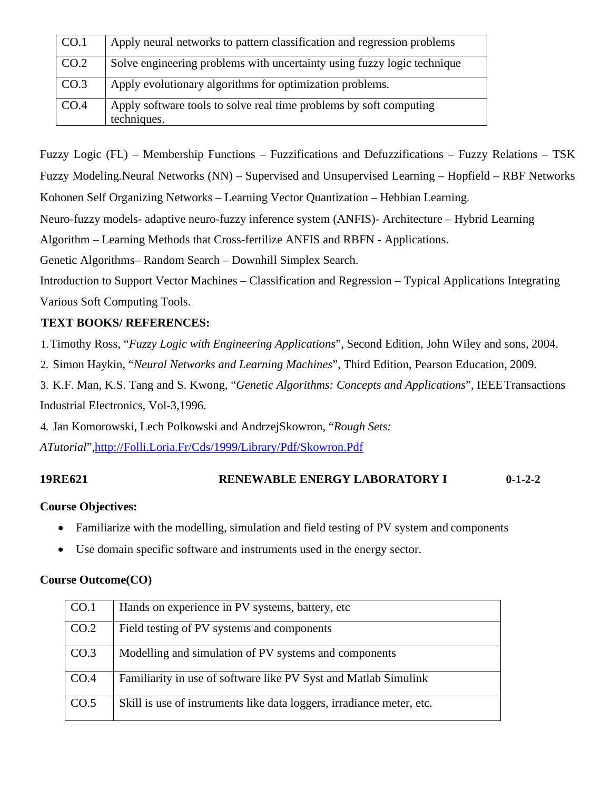| CO.1 | Apply neural networks to pattern classification and regression problems           |
|------|-----------------------------------------------------------------------------------|
| CO.2 | Solve engineering problems with uncertainty using fuzzy logic technique           |
| CO.3 | Apply evolutionary algorithms for optimization problems.                          |
| CO.4 | Apply software tools to solve real time problems by soft computing<br>techniques. |

Fuzzy Logic (FL) – Membership Functions – Fuzzifications and Defuzzifications – Fuzzy Relations – TSK Fuzzy Modeling*.*Neural Networks (NN) – Supervised and Unsupervised Learning – Hopfield – RBF Networks Kohonen Self Organizing Networks – Learning Vector Quantization – Hebbian Learning*.* Neuro-fuzzy models- adaptive neuro-fuzzy inference system (ANFIS)- Architecture – Hybrid Learning Algorithm – Learning Methods that Cross-fertilize ANFIS and RBFN - Applications. Genetic Algorithms– Random Search – Downhill Simplex Search. Introduction to Support Vector Machines – Classification and Regression – Typical Applications Integrating Various Soft Computing Tools.

# **TEXT BOOKS/ REFERENCES:**

1.Timothy Ross, "*Fuzzy Logic with Engineering Applications*", Second Edition, John Wiley and sons, 2004.

2. Simon Haykin, "*Neural Networks and Learning Machines*", Third Edition, Pearson Education, 2009.

3. K.F. Man, K.S. Tang and S. Kwong, "*Genetic Algorithms: Concepts and Applications*", IEEETransactions Industrial Electronics, Vol-3,1996.

4. Jan Komorowski, Lech Polkowski and AndrzejSkowron, "*Rough Sets:* 

*ATutorial*"[,http://Folli.Loria.Fr/Cds/1999/Library/Pdf/Skowron.Pdf](http://folli.loria.fr/Cds/1999/Library/Pdf/Skowron.Pdf)

# **19RE621 RENEWABLE ENERGY LABORATORY I 0-1-2-2**

### **Course Objectives:**

- Familiarize with the modelling, simulation and field testing of PV system and components
- Use domain specific software and instruments used in the energy sector.

| CO.1 | Hands on experience in PV systems, battery, etc                       |
|------|-----------------------------------------------------------------------|
| CO.2 | Field testing of PV systems and components                            |
| CO.3 | Modelling and simulation of PV systems and components                 |
| CO.4 | Familiarity in use of software like PV Syst and Matlab Simulink       |
| CO.5 | Skill is use of instruments like data loggers, irradiance meter, etc. |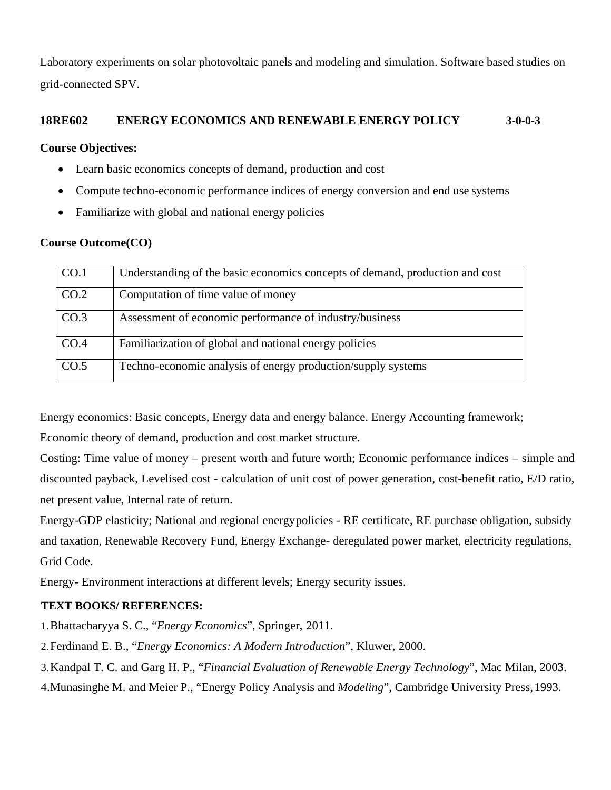Laboratory experiments on solar photovoltaic panels and modeling and simulation. Software based studies on grid-connected SPV.

## **18RE602 ENERGY ECONOMICS AND RENEWABLE ENERGY POLICY 3-0-0-3**

### **Course Objectives:**

- Learn basic economics concepts of demand, production and cost
- Compute techno-economic performance indices of energy conversion and end use systems
- Familiarize with global and national energy policies

### **Course Outcome(CO)**

| CO.1             | Understanding of the basic economics concepts of demand, production and cost |
|------------------|------------------------------------------------------------------------------|
| CO.2             | Computation of time value of money                                           |
| CO <sub>.3</sub> | Assessment of economic performance of industry/business                      |
| CO.4             | Familiarization of global and national energy policies                       |
| CO.5             | Techno-economic analysis of energy production/supply systems                 |

Energy economics: Basic concepts, Energy data and energy balance. Energy Accounting framework;

Economic theory of demand, production and cost market structure.

Costing: Time value of money – present worth and future worth; Economic performance indices – simple and discounted payback, Levelised cost - calculation of unit cost of power generation, cost-benefit ratio, E/D ratio, net present value, Internal rate of return.

Energy-GDP elasticity; National and regional energypolicies - RE certificate, RE purchase obligation, subsidy and taxation, Renewable Recovery Fund, Energy Exchange- deregulated power market, electricity regulations, Grid Code.

Energy- Environment interactions at different levels; Energy security issues.

### **TEXT BOOKS/ REFERENCES:**

- 1.Bhattacharyya S. C., "*Energy Economics*", Springer, 2011.
- 2.Ferdinand E. B., "*Energy Economics: A Modern Introduction*", Kluwer, 2000.
- 3.Kandpal T. C. and Garg H. P., "*Financial Evaluation of Renewable Energy Technology*", Mac Milan, 2003.
- 4.Munasinghe M. and Meier P., "Energy Policy Analysis and *Modeling*", Cambridge University Press,1993.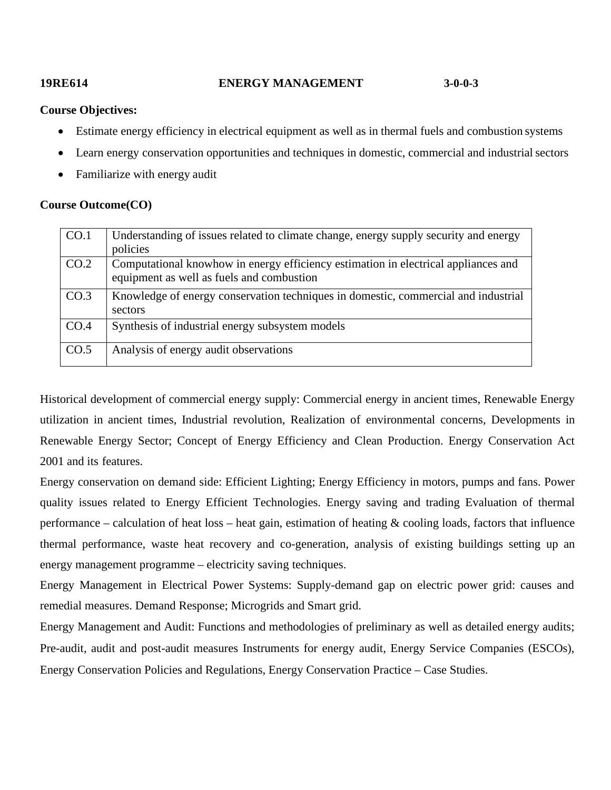# **19RE614 ENERGY MANAGEMENT 3-0-0-3**

#### **Course Objectives:**

- Estimate energy efficiency in electrical equipment as well as in thermal fuels and combustion systems
- Learn energy conservation opportunities and techniques in domestic, commercial and industrial sectors
- Familiarize with energy audit

### **Course Outcome(CO)**

| CO.1 | Understanding of issues related to climate change, energy supply security and energy<br>policies                                |
|------|---------------------------------------------------------------------------------------------------------------------------------|
| CO.2 | Computational knowhow in energy efficiency estimation in electrical appliances and<br>equipment as well as fuels and combustion |
| CO.3 | Knowledge of energy conservation techniques in domestic, commercial and industrial<br>sectors                                   |
| CO.4 | Synthesis of industrial energy subsystem models                                                                                 |
| CO.5 | Analysis of energy audit observations                                                                                           |

Historical development of commercial energy supply: Commercial energy in ancient times, Renewable Energy utilization in ancient times, Industrial revolution, Realization of environmental concerns, Developments in Renewable Energy Sector; Concept of Energy Efficiency and Clean Production. Energy Conservation Act 2001 and its features.

Energy conservation on demand side: Efficient Lighting; Energy Efficiency in motors, pumps and fans. Power quality issues related to Energy Efficient Technologies. Energy saving and trading Evaluation of thermal performance – calculation of heat  $loss$  – heat gain, estimation of heating & cooling loads, factors that influence thermal performance, waste heat recovery and co-generation, analysis of existing buildings setting up an energy management programme – electricity saving techniques.

Energy Management in Electrical Power Systems: Supply-demand gap on electric power grid: causes and remedial measures. Demand Response; Microgrids and Smart grid.

Energy Management and Audit: Functions and methodologies of preliminary as well as detailed energy audits; Pre-audit, audit and post-audit measures Instruments for energy audit, Energy Service Companies (ESCOs), Energy Conservation Policies and Regulations, Energy Conservation Practice – Case Studies.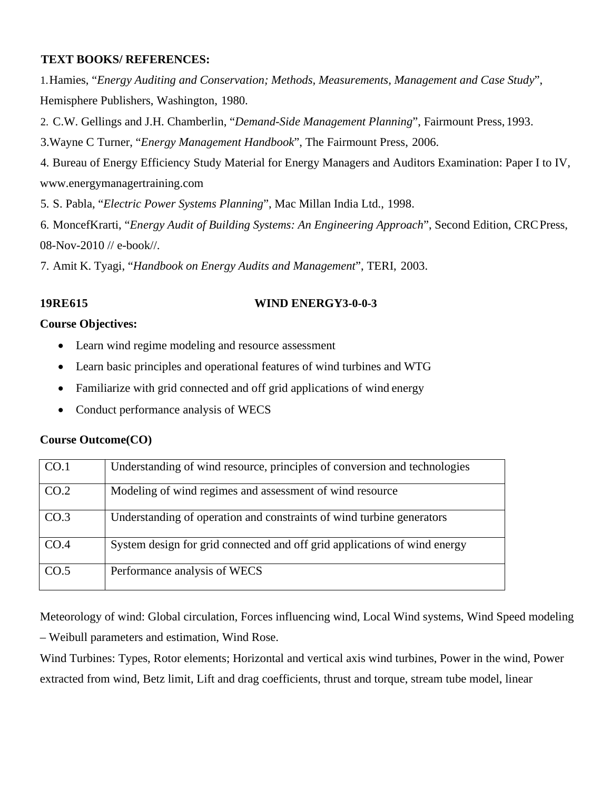## **TEXT BOOKS/ REFERENCES:**

1.Hamies, "*Energy Auditing and Conservation; Methods, Measurements, Management and Case Study*", Hemisphere Publishers, Washington, 1980.

2. C.W. Gellings and J.H. Chamberlin, "*Demand-Side Management Planning*", Fairmount Press, 1993.

3.Wayne C Turner, "*Energy Management Handbook*", The Fairmount Press, 2006.

4. Bureau of Energy Efficiency Study Material for Energy Managers and Auditors Examination: Paper I to IV, [www.energymanagertraining.com](http://www.energymanagertraining.com/)

5. S. Pabla, "*Electric Power Systems Planning*", Mac Millan India Ltd., 1998.

6. MoncefKrarti, "*Energy Audit of Building Systems: An Engineering Approach*", Second Edition, CRCPress, 08-Nov-2010 // e-book//.

7. Amit K. Tyagi, "*Handbook on Energy Audits and Management*", TERI, 2003.

## **19RE615 WIND ENERGY3-0-0-3**

## **Course Objectives:**

- Learn wind regime modeling and resource assessment
- Learn basic principles and operational features of wind turbines and WTG
- Familiarize with grid connected and off grid applications of wind energy
- Conduct performance analysis of WECS

### **Course Outcome(CO)**

| CO.1 | Understanding of wind resource, principles of conversion and technologies |
|------|---------------------------------------------------------------------------|
| CO.2 | Modeling of wind regimes and assessment of wind resource                  |
| CO.3 | Understanding of operation and constraints of wind turbine generators     |
| CO.4 | System design for grid connected and off grid applications of wind energy |
| CO.5 | Performance analysis of WECS                                              |

Meteorology of wind: Global circulation, Forces influencing wind, Local Wind systems, Wind Speed modeling – Weibull parameters and estimation, Wind Rose.

Wind Turbines: Types, Rotor elements; Horizontal and vertical axis wind turbines, Power in the wind, Power extracted from wind, Betz limit, Lift and drag coefficients, thrust and torque, stream tube model, linear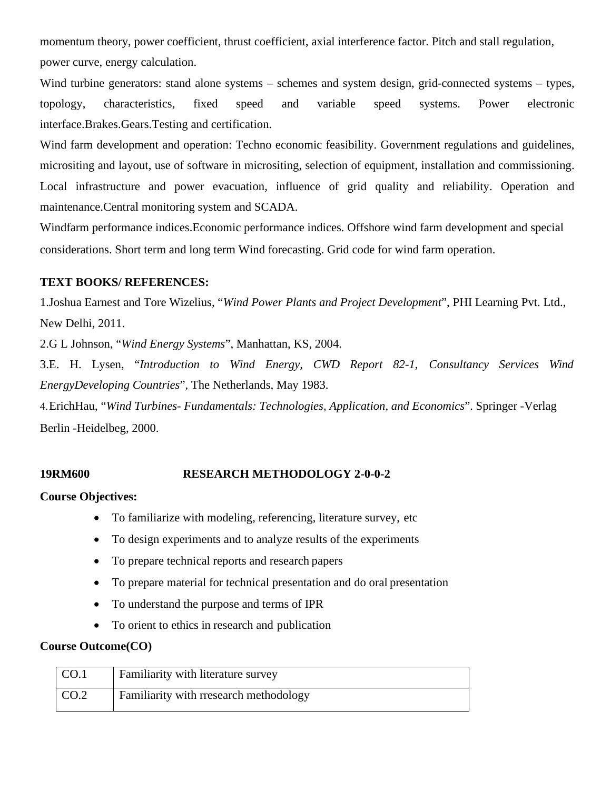momentum theory, power coefficient, thrust coefficient, axial interference factor. Pitch and stall regulation, power curve, energy calculation.

Wind turbine generators: stand alone systems – schemes and system design, grid-connected systems – types, topology, characteristics, fixed speed and variable speed systems. Power electronic interface.Brakes.Gears.Testing and certification.

Wind farm development and operation: Techno economic feasibility. Government regulations and guidelines, micrositing and layout, use of software in micrositing, selection of equipment, installation and commissioning. Local infrastructure and power evacuation, influence of grid quality and reliability. Operation and maintenance.Central monitoring system and SCADA.

Windfarm performance indices.Economic performance indices. Offshore wind farm development and special considerations. Short term and long term Wind forecasting. Grid code for wind farm operation.

# **TEXT BOOKS/ REFERENCES:**

1.Joshua Earnest and Tore Wizelius, "*Wind Power Plants and Project Development*", PHI Learning Pvt. Ltd., New Delhi, 2011.

2.G L Johnson, "*Wind Energy Systems*", Manhattan, KS, 2004.

3.E. H. Lysen, "*Introduction to Wind Energy, CWD Report 82-1, Consultancy Services Wind EnergyDeveloping Countries*", The Netherlands, May 1983.

4.ErichHau, "*Wind Turbines- Fundamentals: Technologies, Application, and Economics*". Springer -Verlag Berlin -Heidelbeg, 2000.

# **19RM600 RESEARCH METHODOLOGY 2-0-0-2**

# **Course Objectives:**

- To familiarize with modeling, referencing, literature survey, etc
- To design experiments and to analyze results of the experiments
- To prepare technical reports and research papers
- To prepare material for technical presentation and do oral presentation
- To understand the purpose and terms of IPR
- To orient to ethics in research and publication

| CO.1 | <b>Familiarity with literature survey</b> |
|------|-------------------------------------------|
| CO.2 | Familiarity with rresearch methodology    |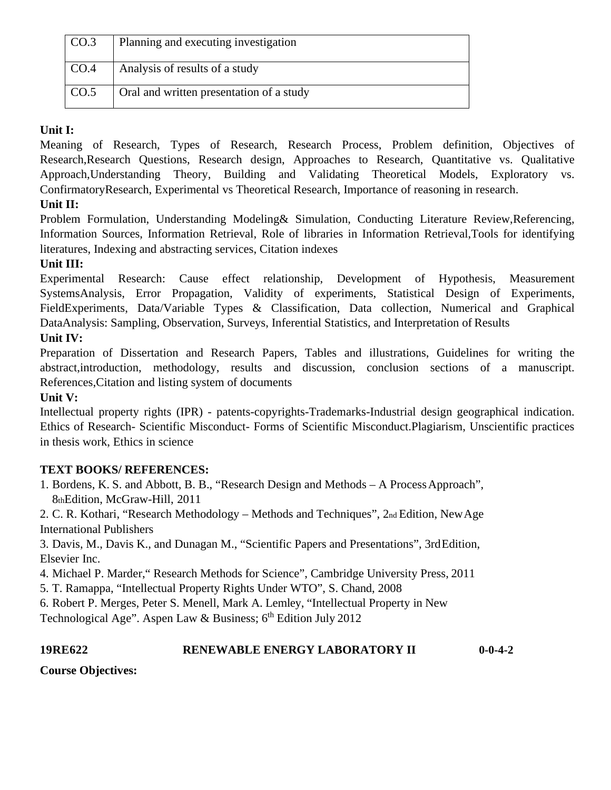| CO.3 | Planning and executing investigation     |
|------|------------------------------------------|
| CO.4 | Analysis of results of a study           |
| CO.5 | Oral and written presentation of a study |

# **Unit I:**

Meaning of Research, Types of Research, Research Process, Problem definition, Objectives of Research,Research Questions, Research design, Approaches to Research, Quantitative vs. Qualitative Approach,Understanding Theory, Building and Validating Theoretical Models, Exploratory vs. ConfirmatoryResearch, Experimental vs Theoretical Research, Importance of reasoning in research.

# **Unit II:**

Problem Formulation, Understanding Modeling& Simulation, Conducting Literature Review,Referencing, Information Sources, Information Retrieval, Role of libraries in Information Retrieval,Tools for identifying literatures, Indexing and abstracting services, Citation indexes

# **Unit III:**

Experimental Research: Cause effect relationship, Development of Hypothesis, Measurement SystemsAnalysis, Error Propagation, Validity of experiments, Statistical Design of Experiments, FieldExperiments, Data/Variable Types & Classification, Data collection, Numerical and Graphical DataAnalysis: Sampling, Observation, Surveys, Inferential Statistics, and Interpretation of Results

# **Unit IV:**

Preparation of Dissertation and Research Papers, Tables and illustrations, Guidelines for writing the abstract,introduction, methodology, results and discussion, conclusion sections of a manuscript. References,Citation and listing system of documents

# **Unit V:**

Intellectual property rights (IPR) - patents-copyrights-Trademarks-Industrial design geographical indication. Ethics of Research- Scientific Misconduct- Forms of Scientific Misconduct.Plagiarism, Unscientific practices in thesis work, Ethics in science

# **TEXT BOOKS/ REFERENCES:**

1. Bordens, K. S. and Abbott, B. B., "Research Design and Methods – A ProcessApproach", 8thEdition, McGraw-Hill, 2011

2. C. R. Kothari, "Research Methodology – Methods and Techniques", 2nd Edition, NewAge International Publishers

3. Davis, M., Davis K., and Dunagan M., "Scientific Papers and Presentations", 3rdEdition, Elsevier Inc.

4. Michael P. Marder," Research Methods for Science", Cambridge University Press, 2011

5. T. Ramappa, "Intellectual Property Rights Under WTO", S. Chand, 2008

6. Robert P. Merges, Peter S. Menell, Mark A. Lemley, "Intellectual Property in New

Technological Age". Aspen Law & Business;  $6<sup>th</sup>$  Edition July 2012

# **19RE622 RENEWABLE ENERGY LABORATORY II 0-0-4-2**

**Course Objectives:**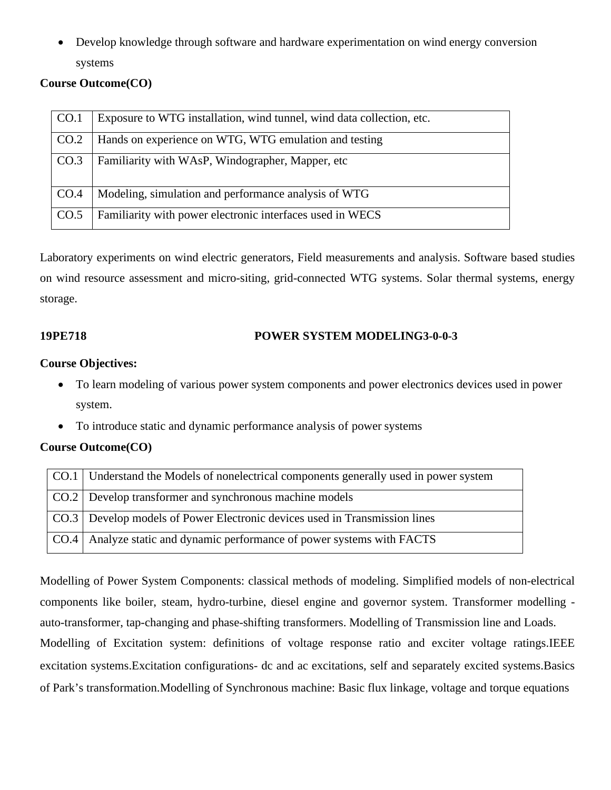• Develop knowledge through software and hardware experimentation on wind energy conversion systems

# **Course Outcome(CO)**

| CO.1 | Exposure to WTG installation, wind tunnel, wind data collection, etc. |
|------|-----------------------------------------------------------------------|
| CO.2 | Hands on experience on WTG, WTG emulation and testing                 |
| CO.3 | Familiarity with WAsP, Windographer, Mapper, etc                      |
| CO.4 | Modeling, simulation and performance analysis of WTG                  |
| CO.5 | Familiarity with power electronic interfaces used in WECS             |

Laboratory experiments on wind electric generators, Field measurements and analysis. Software based studies on wind resource assessment and micro-siting, grid-connected WTG systems. Solar thermal systems, energy storage.

# **19PE718 POWER SYSTEM MODELING3-0-0-3**

## **Course Objectives:**

- To learn modeling of various power system components and power electronics devices used in power system.
- To introduce static and dynamic performance analysis of power systems

# **Course Outcome(CO)**

| CO.1   Understand the Models of nonelectrical components generally used in power system |
|-----------------------------------------------------------------------------------------|
| CO.2   Develop transformer and synchronous machine models                               |
| CO.3   Develop models of Power Electronic devices used in Transmission lines            |
| CO.4   Analyze static and dynamic performance of power systems with FACTS               |

Modelling of Power System Components: classical methods of modeling. Simplified models of non-electrical components like boiler, steam, hydro-turbine, diesel engine and governor system. Transformer modelling auto-transformer, tap-changing and phase-shifting transformers. Modelling of Transmission line and Loads. Modelling of Excitation system: definitions of voltage response ratio and exciter voltage ratings.IEEE excitation systems.Excitation configurations- dc and ac excitations, self and separately excited systems.Basics of Park's transformation.Modelling of Synchronous machine: Basic flux linkage, voltage and torque equations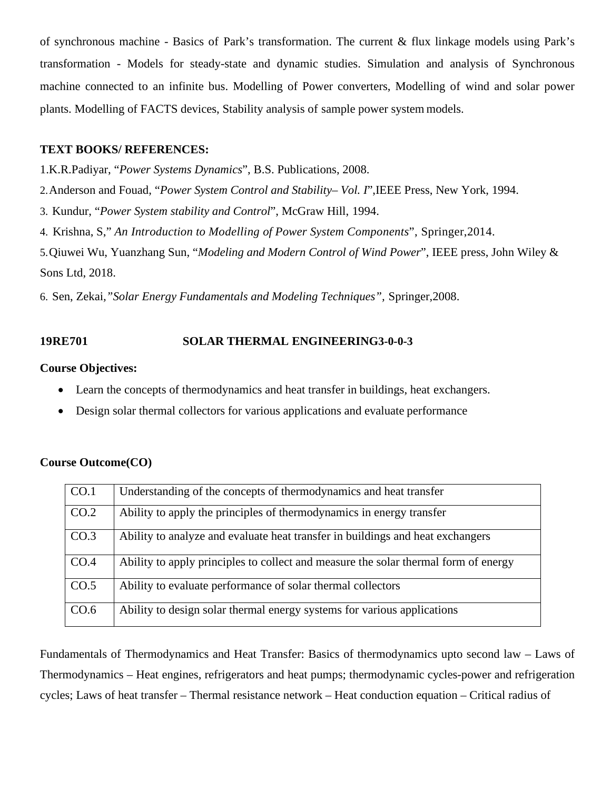of synchronous machine - Basics of Park's transformation. The current & flux linkage models using Park's transformation - Models for steady-state and dynamic studies. Simulation and analysis of Synchronous machine connected to an infinite bus. Modelling of Power converters, Modelling of wind and solar power plants. Modelling of FACTS devices, Stability analysis of sample power system models.

#### **TEXT BOOKS/ REFERENCES:**

1.K.R.Padiyar, "*Power Systems Dynamics*", B.S. Publications, 2008.

2.Anderson and Fouad, "*Power System Control and Stability– Vol. I*",IEEE Press, New York, 1994.

3. Kundur, "*Power System stability and Control*", McGraw Hill, 1994.

4. Krishna, S," *An Introduction to Modelling of Power System Components*", Springer,2014.

5.Qiuwei Wu, Yuanzhang Sun, "*Modeling and Modern Control of Wind Power*", IEEE press, John Wiley & Sons Ltd, 2018.

6. Sen, Zekai*,"Solar Energy Fundamentals and Modeling Techniques",* Springer,2008.

### **19RE701 SOLAR THERMAL ENGINEERING3-0-0-3**

### **Course Objectives:**

- Learn the concepts of thermodynamics and heat transfer in buildings, heat exchangers.
- Design solar thermal collectors for various applications and evaluate performance

### **Course Outcome(CO)**

| CO.1 | Understanding of the concepts of thermodynamics and heat transfer                   |
|------|-------------------------------------------------------------------------------------|
| CO.2 | Ability to apply the principles of thermodynamics in energy transfer                |
| CO.3 | Ability to analyze and evaluate heat transfer in buildings and heat exchangers      |
| CO.4 | Ability to apply principles to collect and measure the solar thermal form of energy |
| CO.5 | Ability to evaluate performance of solar thermal collectors                         |
| CO.6 | Ability to design solar thermal energy systems for various applications             |

Fundamentals of Thermodynamics and Heat Transfer: Basics of thermodynamics upto second law – Laws of Thermodynamics – Heat engines, refrigerators and heat pumps; thermodynamic cycles-power and refrigeration cycles; Laws of heat transfer – Thermal resistance network – Heat conduction equation – Critical radius of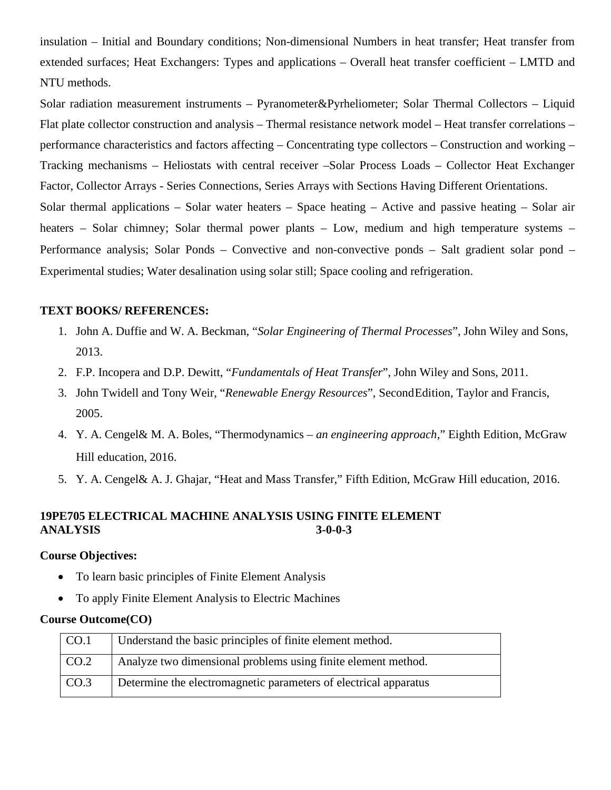insulation – Initial and Boundary conditions; Non-dimensional Numbers in heat transfer; Heat transfer from extended surfaces; Heat Exchangers: Types and applications – Overall heat transfer coefficient – LMTD and NTU methods.

Solar radiation measurement instruments – Pyranometer&Pyrheliometer; Solar Thermal Collectors – Liquid Flat plate collector construction and analysis – Thermal resistance network model – Heat transfer correlations – performance characteristics and factors affecting – Concentrating type collectors – Construction and working – Tracking mechanisms – Heliostats with central receiver –Solar Process Loads – Collector Heat Exchanger Factor, Collector Arrays - Series Connections, Series Arrays with Sections Having Different Orientations. Solar thermal applications – Solar water heaters – Space heating – Active and passive heating – Solar air heaters – Solar chimney; Solar thermal power plants – Low, medium and high temperature systems – Performance analysis; Solar Ponds – Convective and non-convective ponds – Salt gradient solar pond – Experimental studies; Water desalination using solar still; Space cooling and refrigeration.

## **TEXT BOOKS/ REFERENCES:**

- 1. John A. Duffie and W. A. Beckman, "*Solar Engineering of Thermal Processes*", John Wiley and Sons, 2013.
- 2. F.P. Incopera and D.P. Dewitt, "*Fundamentals of Heat Transfer*", John Wiley and Sons, 2011.
- 3. John Twidell and Tony Weir, "*Renewable Energy Resources*", SecondEdition, Taylor and Francis, 2005.
- 4. Y. A. Cengel& M. A. Boles, "Thermodynamics *an engineering approach*," Eighth Edition, McGraw Hill education, 2016.
- 5. Y. A. Cengel& A. J. Ghajar, "Heat and Mass Transfer," Fifth Edition, McGraw Hill education, 2016.

# **19PE705 ELECTRICAL MACHINE ANALYSIS USING FINITE ELEMENT ANALYSIS 3-0-0-3**

## **Course Objectives:**

- To learn basic principles of Finite Element Analysis
- To apply Finite Element Analysis to Electric Machines

| CO.1 | Understand the basic principles of finite element method.        |
|------|------------------------------------------------------------------|
| CO.2 | Analyze two dimensional problems using finite element method.    |
| CO.3 | Determine the electromagnetic parameters of electrical apparatus |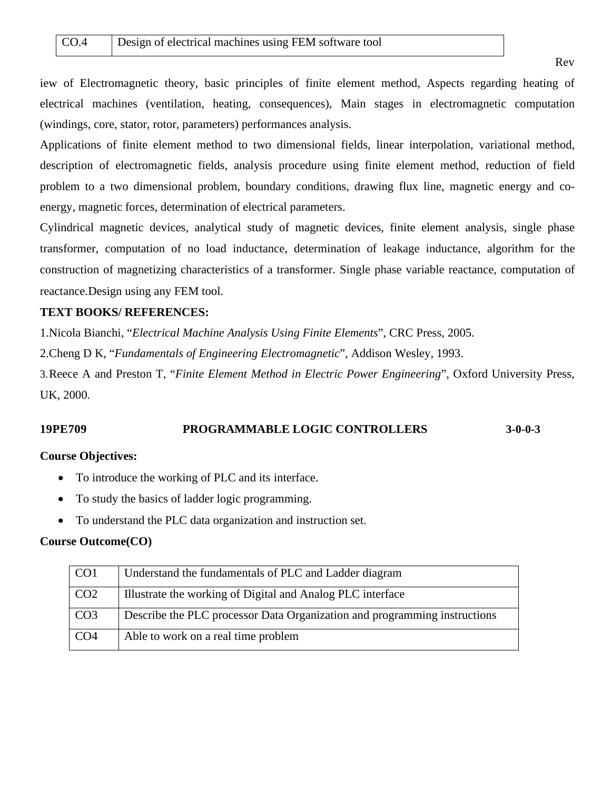iew of Electromagnetic theory, basic principles of finite element method, Aspects regarding heating of electrical machines (ventilation, heating, consequences), Main stages in electromagnetic computation (windings, core, stator, rotor, parameters) performances analysis.

Applications of finite element method to two dimensional fields, linear interpolation, variational method, description of electromagnetic fields, analysis procedure using finite element method, reduction of field problem to a two dimensional problem, boundary conditions, drawing flux line, magnetic energy and coenergy, magnetic forces, determination of electrical parameters.

Cylindrical magnetic devices, analytical study of magnetic devices, finite element analysis, single phase transformer, computation of no load inductance, determination of leakage inductance, algorithm for the construction of magnetizing characteristics of a transformer. Single phase variable reactance, computation of reactance.Design using any FEM tool.

## **TEXT BOOKS/ REFERENCES:**

1.Nicola Bianchi, "*Electrical Machine Analysis Using Finite Elements*", CRC Press, 2005.

2.Cheng D K, "*Fundamentals of Engineering Electromagnetic*", Addison Wesley, 1993.

3.Reece A and Preston T, "*Finite Element Method in Electric Power Engineering*", Oxford University Press, UK, 2000.

# **19PE709 PROGRAMMABLE LOGIC CONTROLLERS 3-0-0-3**

### **Course Objectives:**

- To introduce the working of PLC and its interface.
- To study the basics of ladder logic programming.
- To understand the PLC data organization and instruction set.

| CO <sub>1</sub> | Understand the fundamentals of PLC and Ladder diagram                     |
|-----------------|---------------------------------------------------------------------------|
| CO <sub>2</sub> | Illustrate the working of Digital and Analog PLC interface                |
| CO <sub>3</sub> | Describe the PLC processor Data Organization and programming instructions |
| CO <sub>4</sub> | Able to work on a real time problem                                       |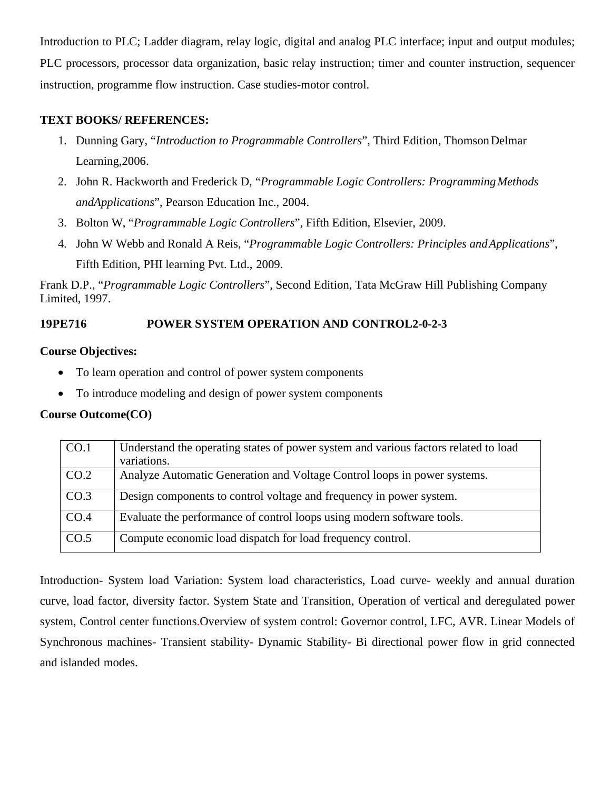Introduction to PLC; Ladder diagram, relay logic, digital and analog PLC interface; input and output modules; PLC processors, processor data organization, basic relay instruction; timer and counter instruction, sequencer instruction, programme flow instruction. Case studies-motor control.

## **TEXT BOOKS/ REFERENCES:**

- 1. Dunning Gary, "*Introduction to Programmable Controllers*", Third Edition, ThomsonDelmar Learning,2006.
- 2. John R. Hackworth and Frederick D, "Programmable Logic Controllers: Programming Methods *andApplications*", Pearson Education Inc., 2004.
- 3. Bolton W, "*Programmable Logic Controllers*", Fifth Edition, Elsevier, 2009.
- 4. John W Webb and Ronald A Reis, "*Programmable Logic Controllers: Principles andApplications*", Fifth Edition, PHI learning Pvt. Ltd., 2009.

Frank D.P., "*Programmable Logic Controllers*", Second Edition, Tata McGraw Hill Publishing Company Limited, 1997.

# **19PE716 POWER SYSTEM OPERATION AND CONTROL2-0-2-3**

## **Course Objectives:**

- To learn operation and control of power system components
- To introduce modeling and design of power system components

# **Course Outcome(CO)**

| CO.1 | Understand the operating states of power system and various factors related to load<br>variations. |
|------|----------------------------------------------------------------------------------------------------|
| CO.2 | Analyze Automatic Generation and Voltage Control loops in power systems.                           |
| CO.3 | Design components to control voltage and frequency in power system.                                |
| CO.4 | Evaluate the performance of control loops using modern software tools.                             |
| CO.5 | Compute economic load dispatch for load frequency control.                                         |

Introduction- System load Variation: System load characteristics, Load curve- weekly and annual duration curve, load factor, diversity factor. System State and Transition, Operation of vertical and deregulated power system, Control center functions.Overview of system control: Governor control, LFC, AVR. Linear Models of Synchronous machines- Transient stability- Dynamic Stability- Bi directional power flow in grid connected and islanded modes.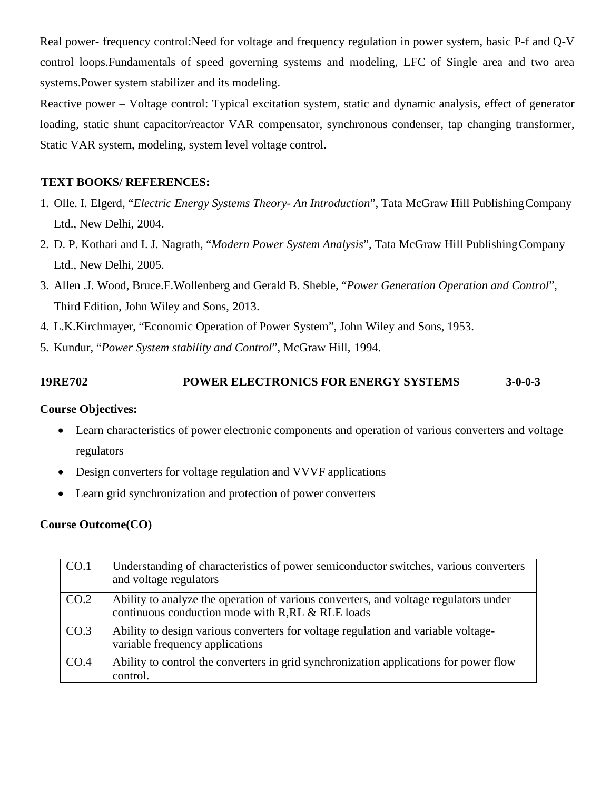Real power- frequency control:Need for voltage and frequency regulation in power system, basic P-f and Q-V control loops.Fundamentals of speed governing systems and modeling, LFC of Single area and two area systems.Power system stabilizer and its modeling.

Reactive power – Voltage control: Typical excitation system, static and dynamic analysis, effect of generator loading, static shunt capacitor/reactor VAR compensator, synchronous condenser, tap changing transformer, Static VAR system, modeling, system level voltage control.

## **TEXT BOOKS/ REFERENCES:**

- 1. Olle. I. Elgerd, "*Electric Energy Systems Theory- An Introduction*", Tata McGraw Hill PublishingCompany Ltd., New Delhi, 2004.
- 2. D. P. Kothari and I. J. Nagrath, "*Modern Power System Analysis*", Tata McGraw Hill PublishingCompany Ltd., New Delhi, 2005.
- 3. Allen .J. Wood, Bruce.F.Wollenberg and Gerald B. Sheble, "*Power Generation Operation and Control*", Third Edition, John Wiley and Sons, 2013.
- 4. L.K.Kirchmayer, "Economic Operation of Power System", John Wiley and Sons, 1953.
- 5. Kundur, "*Power System stability and Control*", McGraw Hill, 1994.

# **19RE702 POWER ELECTRONICS FOR ENERGY SYSTEMS 3-0-0-3**

### **Course Objectives:**

- Learn characteristics of power electronic components and operation of various converters and voltage regulators
- Design converters for voltage regulation and VVVF applications
- Learn grid synchronization and protection of power converters

| CO.1 | Understanding of characteristics of power semiconductor switches, various converters<br>and voltage regulators                           |
|------|------------------------------------------------------------------------------------------------------------------------------------------|
| CO.2 | Ability to analyze the operation of various converters, and voltage regulators under<br>continuous conduction mode with R,RL & RLE loads |
| CO.3 | Ability to design various converters for voltage regulation and variable voltage-<br>variable frequency applications                     |
| CO.4 | Ability to control the converters in grid synchronization applications for power flow<br>control.                                        |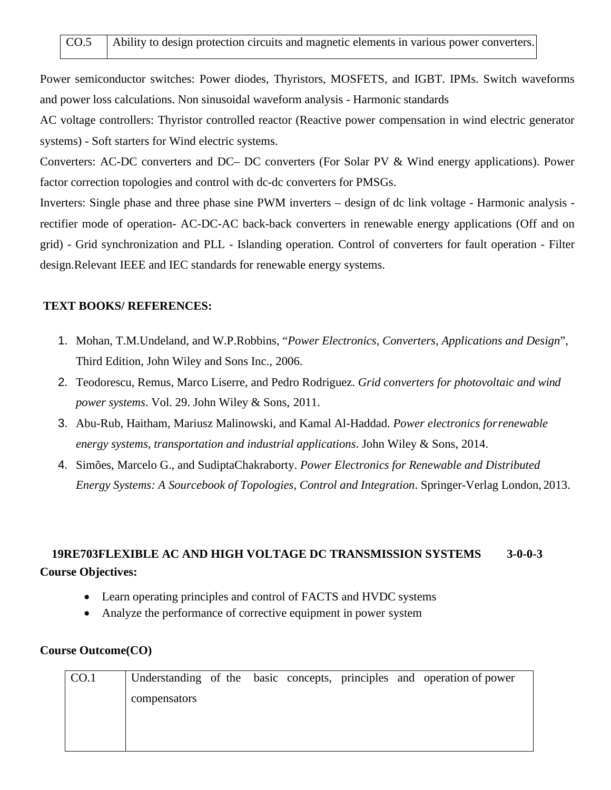Power semiconductor switches: Power diodes, Thyristors, MOSFETS, and IGBT. IPMs. Switch waveforms and power loss calculations. Non sinusoidal waveform analysis - Harmonic standards

AC voltage controllers: Thyristor controlled reactor (Reactive power compensation in wind electric generator systems) - Soft starters for Wind electric systems.

Converters: AC-DC converters and DC– DC converters (For Solar PV & Wind energy applications). Power factor correction topologies and control with dc-dc converters for PMSGs.

Inverters: Single phase and three phase sine PWM inverters – design of dc link voltage - Harmonic analysis rectifier mode of operation- AC-DC-AC back-back converters in renewable energy applications (Off and on grid) - Grid synchronization and PLL - Islanding operation. Control of converters for fault operation - Filter design.Relevant IEEE and IEC standards for renewable energy systems.

# **TEXT BOOKS/ REFERENCES:**

- 1. Mohan, T.M.Undeland, and W.P.Robbins, "*Power Electronics, Converters, Applications and Design*", Third Edition, John Wiley and Sons Inc., 2006.
- 2. Teodorescu, Remus, Marco Liserre, and Pedro Rodriguez. *Grid converters for photovoltaic and wind power systems*. Vol. 29. John Wiley & Sons, 2011.
- 3. Abu-Rub, Haitham, Mariusz Malinowski, and Kamal Al-Haddad. *Power electronics forrenewable energy systems, transportation and industrial applications*. John Wiley & Sons, 2014.
- 4. Simões, Marcelo G., and SudiptaChakraborty. *Power Electronics for Renewable and Distributed Energy Systems: A Sourcebook of Topologies, Control and Integration*. Springer-Verlag London, 2013.

# **19RE703FLEXIBLE AC AND HIGH VOLTAGE DC TRANSMISSION SYSTEMS 3-0-0-3 Course Objectives:**

- Learn operating principles and control of FACTS and HVDC systems
- Analyze the performance of corrective equipment in power system

| CO.1 |              |  |  | Understanding of the basic concepts, principles and operation of power |
|------|--------------|--|--|------------------------------------------------------------------------|
|      | compensators |  |  |                                                                        |
|      |              |  |  |                                                                        |
|      |              |  |  |                                                                        |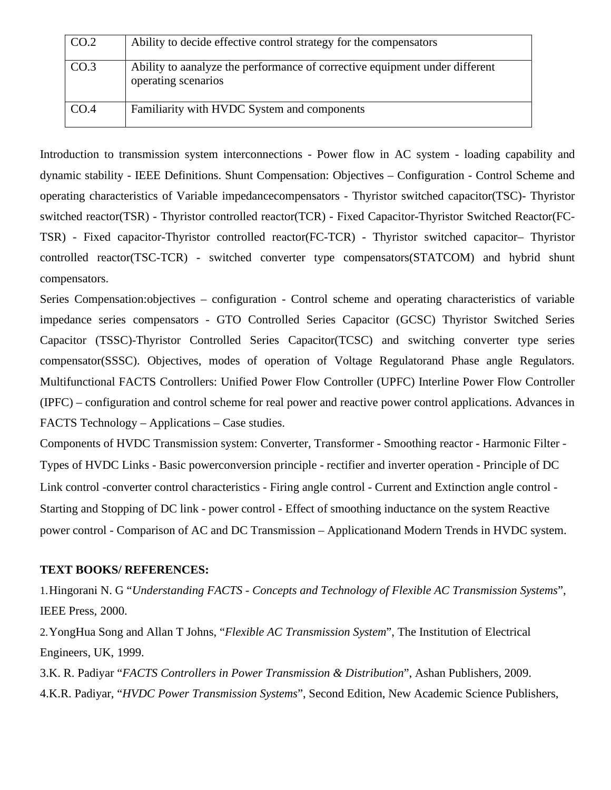| CO.2             | Ability to decide effective control strategy for the compensators                                   |
|------------------|-----------------------------------------------------------------------------------------------------|
| CO <sub>.3</sub> | Ability to a analyze the performance of corrective equipment under different<br>operating scenarios |
| CO.4             | Familiarity with HVDC System and components                                                         |

Introduction to transmission system interconnections - Power flow in AC system - loading capability and dynamic stability - IEEE Definitions. Shunt Compensation: Objectives – Configuration - Control Scheme and operating characteristics of Variable impedancecompensators - Thyristor switched capacitor(TSC)- Thyristor switched reactor(TSR) - Thyristor controlled reactor(TCR) - Fixed Capacitor-Thyristor Switched Reactor(FC-TSR) - Fixed capacitor-Thyristor controlled reactor(FC-TCR) - Thyristor switched capacitor– Thyristor controlled reactor(TSC-TCR) - switched converter type compensators(STATCOM) and hybrid shunt compensators.

Series Compensation:objectives – configuration - Control scheme and operating characteristics of variable impedance series compensators - GTO Controlled Series Capacitor (GCSC) Thyristor Switched Series Capacitor (TSSC)-Thyristor Controlled Series Capacitor(TCSC) and switching converter type series compensator(SSSC). Objectives, modes of operation of Voltage Regulatorand Phase angle Regulators. Multifunctional FACTS Controllers: Unified Power Flow Controller (UPFC) Interline Power Flow Controller (IPFC) – configuration and control scheme for real power and reactive power control applications. Advances in FACTS Technology – Applications – Case studies.

Components of HVDC Transmission system: Converter, Transformer - Smoothing reactor - Harmonic Filter - Types of HVDC Links - Basic powerconversion principle - rectifier and inverter operation - Principle of DC Link control -converter control characteristics - Firing angle control - Current and Extinction angle control - Starting and Stopping of DC link - power control - Effect of smoothing inductance on the system Reactive power control - Comparison of AC and DC Transmission – Applicationand Modern Trends in HVDC system.

### **TEXT BOOKS/ REFERENCES:**

1.Hingorani N. G "*Understanding FACTS - Concepts and Technology of Flexible AC Transmission Systems*", IEEE Press, 2000.

2.YongHua Song and Allan T Johns, "*Flexible AC Transmission System*", The Institution of Electrical Engineers, UK, 1999.

3.K. R. Padiyar "*FACTS Controllers in Power Transmission & Distribution*", Ashan Publishers, 2009. 4.K.R. Padiyar, "*HVDC Power Transmission Systems*", Second Edition, New Academic Science Publishers,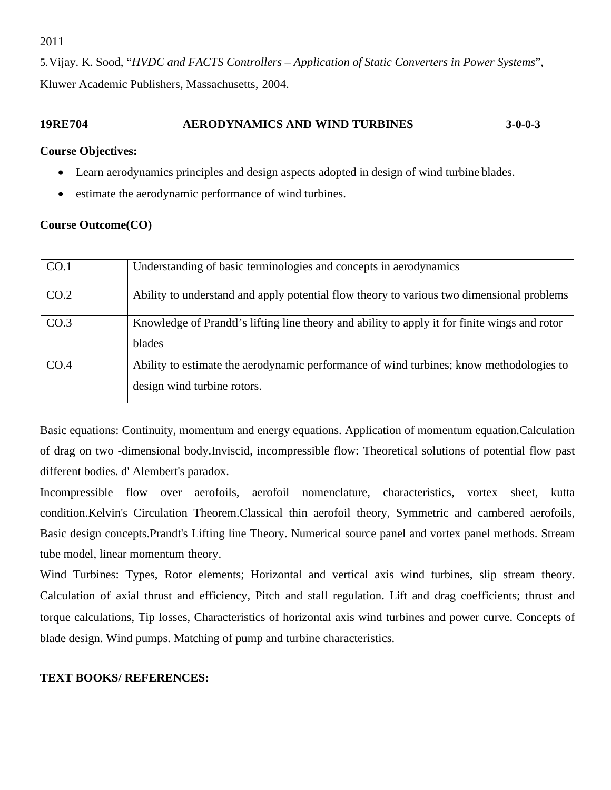2011

5.Vijay. K. Sood, "*HVDC and FACTS Controllers – Application of Static Converters in Power Systems*", Kluwer Academic Publishers, Massachusetts, 2004.

# **19RE704 AERODYNAMICS AND WIND TURBINES 3-0-0-3**

#### **Course Objectives:**

- Learn aerodynamics principles and design aspects adopted in design of wind turbine blades.
- estimate the aerodynamic performance of wind turbines.

### **Course Outcome(CO)**

| CO.1 | Understanding of basic terminologies and concepts in aerodynamics                                                      |
|------|------------------------------------------------------------------------------------------------------------------------|
| CO.2 | Ability to understand and apply potential flow theory to various two dimensional problems                              |
| CO.3 | Knowledge of Prandtl's lifting line theory and ability to apply it for finite wings and rotor<br>blades                |
| CO.4 | Ability to estimate the aerodynamic performance of wind turbines; know methodologies to<br>design wind turbine rotors. |

Basic equations: Continuity, momentum and energy equations. Application of momentum equation.Calculation of drag on two -dimensional body.Inviscid, incompressible flow: Theoretical solutions of potential flow past different bodies. d' Alembert's paradox.

Incompressible flow over aerofoils, aerofoil nomenclature, characteristics, vortex sheet, kutta condition.Kelvin's Circulation Theorem.Classical thin aerofoil theory, Symmetric and cambered aerofoils, Basic design concepts.Prandt's Lifting line Theory. Numerical source panel and vortex panel methods. Stream tube model, linear momentum theory.

Wind Turbines: Types, Rotor elements; Horizontal and vertical axis wind turbines, slip stream theory. Calculation of axial thrust and efficiency, Pitch and stall regulation. Lift and drag coefficients; thrust and torque calculations, Tip losses, Characteristics of horizontal axis wind turbines and power curve. Concepts of blade design. Wind pumps. Matching of pump and turbine characteristics.

### **TEXT BOOKS/ REFERENCES:**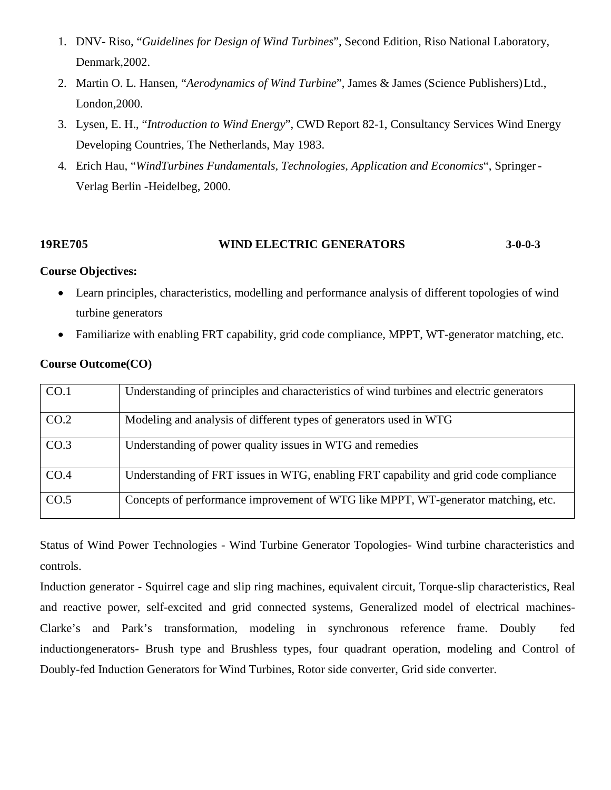- 1. DNV- Riso, "*Guidelines for Design of Wind Turbines*", Second Edition, Riso National Laboratory, Denmark,2002.
- 2. Martin O. L. Hansen, "*Aerodynamics of Wind Turbine*", James & James (Science Publishers)Ltd., London,2000.
- 3. Lysen, E. H., "*Introduction to Wind Energy*", CWD Report 82-1, Consultancy Services Wind Energy Developing Countries, The Netherlands, May 1983.
- 4. Erich Hau, "*WindTurbines Fundamentals, Technologies, Application and Economics*", Springer-Verlag Berlin -Heidelbeg, 2000.

# **19RE705 WIND ELECTRIC GENERATORS 3-0-0-3**

### **Course Objectives:**

- Learn principles, characteristics, modelling and performance analysis of different topologies of wind turbine generators
- Familiarize with enabling FRT capability, grid code compliance, MPPT, WT-generator matching, etc.

| CO.1 | Understanding of principles and characteristics of wind turbines and electric generators |
|------|------------------------------------------------------------------------------------------|
| CO.2 | Modeling and analysis of different types of generators used in WTG                       |
| CO.3 | Understanding of power quality issues in WTG and remedies                                |
| CO.4 | Understanding of FRT issues in WTG, enabling FRT capability and grid code compliance     |
| CO.5 | Concepts of performance improvement of WTG like MPPT, WT-generator matching, etc.        |

### **Course Outcome(CO)**

Status of Wind Power Technologies - Wind Turbine Generator Topologies- Wind turbine characteristics and controls.

Induction generator - Squirrel cage and slip ring machines, equivalent circuit, Torque-slip characteristics, Real and reactive power, self-excited and grid connected systems, Generalized model of electrical machines-Clarke's and Park's transformation, modeling in synchronous reference frame. Doubly fed inductiongenerators- Brush type and Brushless types, four quadrant operation, modeling and Control of Doubly-fed Induction Generators for Wind Turbines, Rotor side converter, Grid side converter.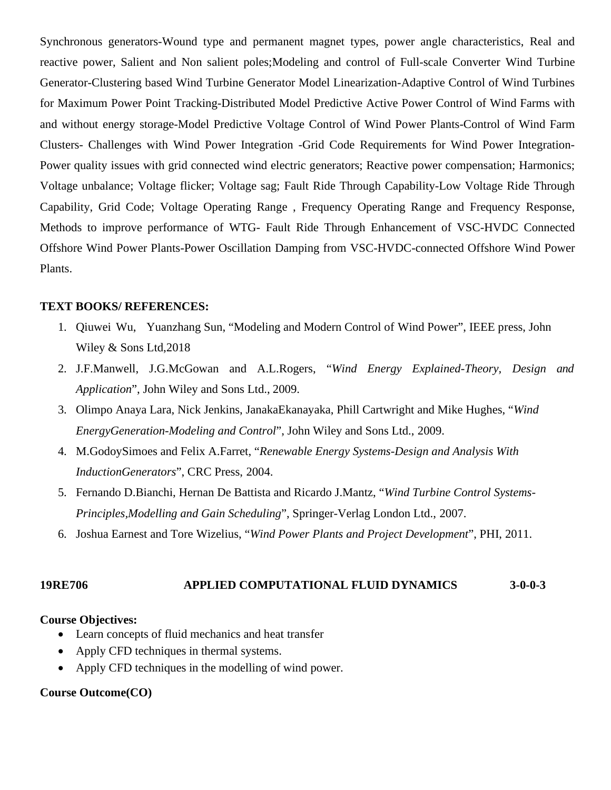Synchronous generators-Wound type and permanent magnet types, power angle characteristics, Real and reactive power, Salient and Non salient poles;Modeling and control of Full-scale Converter Wind Turbine Generator-Clustering based Wind Turbine Generator Model Linearization-Adaptive Control of Wind Turbines for Maximum Power Point Tracking-Distributed Model Predictive Active Power Control of Wind Farms with and without energy storage-Model Predictive Voltage Control of Wind Power Plants-Control of Wind Farm Clusters- Challenges with Wind Power Integration -Grid Code Requirements for Wind Power Integration-Power quality issues with grid connected wind electric generators; Reactive power compensation; Harmonics; Voltage unbalance; Voltage flicker; Voltage sag; Fault Ride Through Capability-Low Voltage Ride Through Capability, Grid Code; Voltage Operating Range , Frequency Operating Range and Frequency Response, Methods to improve performance of WTG- Fault Ride Through Enhancement of VSC-HVDC Connected Offshore Wind Power Plants-Power Oscillation Damping from VSC-HVDC-connected Offshore Wind Power Plants.

### **TEXT BOOKS/ REFERENCES:**

- 1. Qiuwei Wu, Yuanzhang Sun, "Modeling and Modern Control of Wind Power", IEEE press, John Wiley & Sons Ltd,2018
- 2. J.F.Manwell, J.G.McGowan and A.L.Rogers, "*Wind Energy Explained-Theory, Design and Application*", John Wiley and Sons Ltd., 2009.
- 3. Olimpo Anaya Lara, Nick Jenkins, JanakaEkanayaka, Phill Cartwright and Mike Hughes, "*Wind EnergyGeneration-Modeling and Control*", John Wiley and Sons Ltd., 2009.
- 4. M.GodoySimoes and Felix A.Farret, "*Renewable Energy Systems-Design and Analysis With InductionGenerators*", CRC Press, 2004.
- 5. Fernando D.Bianchi, Hernan De Battista and Ricardo J.Mantz, "*Wind Turbine Control Systems-Principles,Modelling and Gain Scheduling*", Springer-Verlag London Ltd., 2007.
- 6. Joshua Earnest and Tore Wizelius, "*Wind Power Plants and Project Development*", PHI, 2011.

### **19RE706 APPLIED COMPUTATIONAL FLUID DYNAMICS 3-0-0-3**

#### **Course Objectives:**

- Learn concepts of fluid mechanics and heat transfer
- Apply CFD techniques in thermal systems.
- Apply CFD techniques in the modelling of wind power.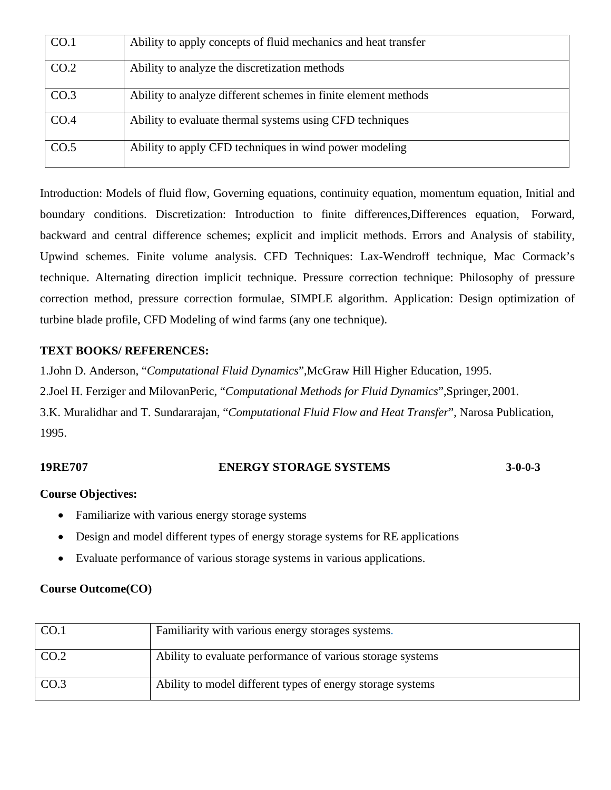| CO.1 | Ability to apply concepts of fluid mechanics and heat transfer |
|------|----------------------------------------------------------------|
| CO.2 | Ability to analyze the discretization methods                  |
| CO.3 | Ability to analyze different schemes in finite element methods |
| CO.4 | Ability to evaluate thermal systems using CFD techniques       |
| CO.5 | Ability to apply CFD techniques in wind power modeling         |

Introduction: Models of fluid flow, Governing equations, continuity equation, momentum equation, Initial and boundary conditions. Discretization: Introduction to finite differences,Differences equation, Forward, backward and central difference schemes; explicit and implicit methods. Errors and Analysis of stability, Upwind schemes. Finite volume analysis. CFD Techniques: Lax-Wendroff technique, Mac Cormack's technique. Alternating direction implicit technique. Pressure correction technique: Philosophy of pressure correction method, pressure correction formulae, SIMPLE algorithm. Application: Design optimization of turbine blade profile, CFD Modeling of wind farms (any one technique).

## **TEXT BOOKS/ REFERENCES:**

1.John D. Anderson, "*Computational Fluid Dynamics*",McGraw Hill Higher Education, 1995.

2.Joel H. Ferziger and MilovanPeric, "*Computational Methods for Fluid Dynamics*",Springer, 2001.

3.K. Muralidhar and T. Sundararajan, "*Computational Fluid Flow and Heat Transfer*", Narosa Publication, 1995.

### **19RE707 ENERGY STORAGE SYSTEMS 3-0-0-3**

### **Course Objectives:**

- Familiarize with various energy storage systems
- Design and model different types of energy storage systems for RE applications
- Evaluate performance of various storage systems in various applications.

| CO.1 | Familiarity with various energy storages systems.          |
|------|------------------------------------------------------------|
| CO.2 | Ability to evaluate performance of various storage systems |
| CO.3 | Ability to model different types of energy storage systems |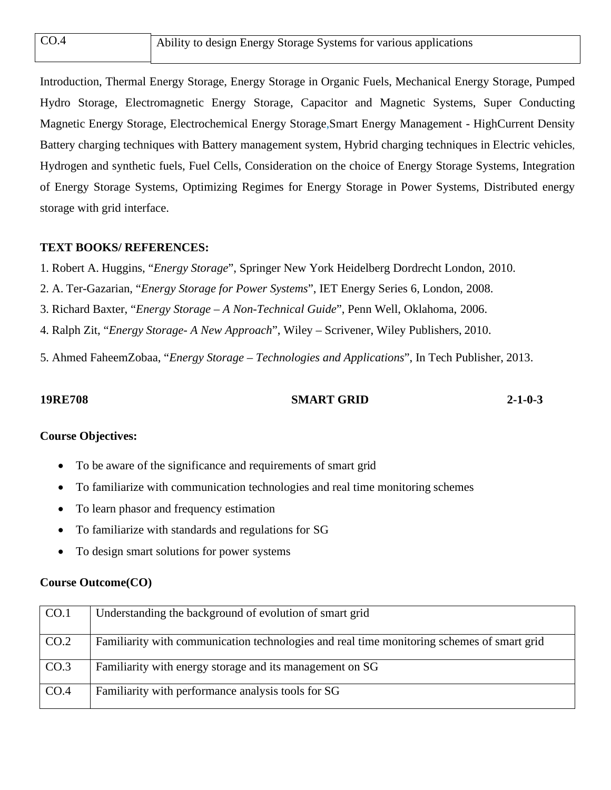| CO.4 | Ability to design Energy Storage Systems for various applications |
|------|-------------------------------------------------------------------|
|      |                                                                   |

Introduction, Thermal Energy Storage, Energy Storage in Organic Fuels, Mechanical Energy Storage, Pumped Hydro Storage, Electromagnetic Energy Storage, Capacitor and Magnetic Systems, Super Conducting Magnetic Energy Storage, Electrochemical Energy Storage,Smart Energy Management - HighCurrent Density Battery charging techniques with Battery management system, Hybrid charging techniques in Electric vehicles, Hydrogen and synthetic fuels, Fuel Cells, Consideration on the choice of Energy Storage Systems, Integration of Energy Storage Systems, Optimizing Regimes for Energy Storage in Power Systems, Distributed energy storage with grid interface.

## **TEXT BOOKS/ REFERENCES:**

1. Robert A. Huggins, "*Energy Storage*", Springer New York Heidelberg Dordrecht London, 2010.

2. A. Ter-Gazarian, "*Energy Storage for Power Systems*", IET Energy Series 6, London, 2008.

3. Richard Baxter, "*Energy Storage – A Non-Technical Guide*", Penn Well, Oklahoma, 2006.

4. Ralph Zit, "*Energy Storage- A New Approach*", Wiley – Scrivener, Wiley Publishers, 2010.

5. Ahmed FaheemZobaa, "*Energy Storage – Technologies and Applications*", In Tech Publisher, 2013.

#### **19RE708 SMART GRID 2-1-0-3**

# **Course Objectives:**

- To be aware of the significance and requirements of smart grid
- To familiarize with communication technologies and real time monitoring schemes
- To learn phasor and frequency estimation
- To familiarize with standards and regulations for SG
- To design smart solutions for power systems

| CO.1 | Understanding the background of evolution of smart grid                                    |
|------|--------------------------------------------------------------------------------------------|
| CO.2 | Familiarity with communication technologies and real time monitoring schemes of smart grid |
| CO.3 | Familiarity with energy storage and its management on SG                                   |
| CO.4 | Familiarity with performance analysis tools for SG                                         |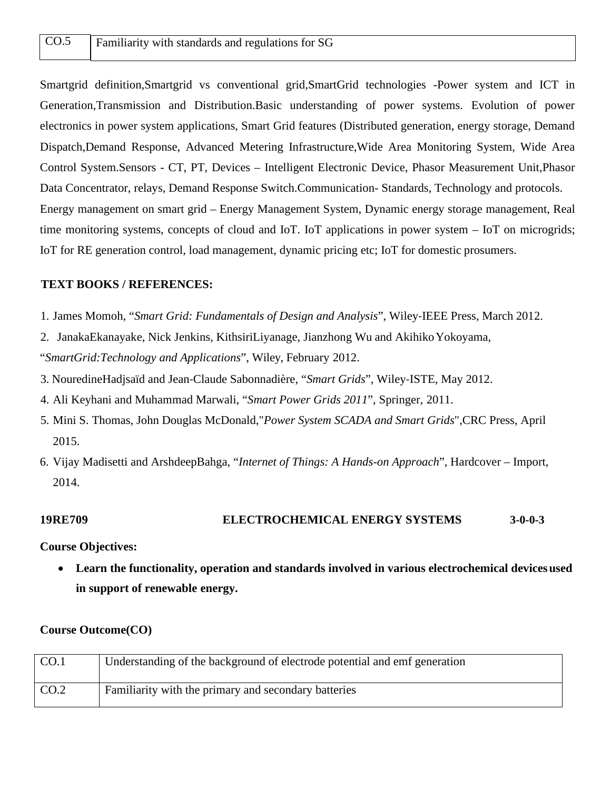Smartgrid definition,Smartgrid vs conventional grid,SmartGrid technologies -Power system and ICT in Generation,Transmission and Distribution.Basic understanding of power systems. Evolution of power electronics in power system applications, Smart Grid features (Distributed generation, energy storage, Demand Dispatch,Demand Response, Advanced Metering Infrastructure,Wide Area Monitoring System, Wide Area Control System.Sensors - CT, PT, Devices – Intelligent Electronic Device, Phasor Measurement Unit,Phasor Data Concentrator, relays, Demand Response Switch.Communication- Standards, Technology and protocols. Energy management on smart grid – Energy Management System, Dynamic energy storage management, Real time monitoring systems, concepts of cloud and IoT. IoT applications in power system – IoT on microgrids; IoT for RE generation control, load management, dynamic pricing etc; IoT for domestic prosumers.

#### **TEXT BOOKS / REFERENCES:**

- 1. James Momoh, "*Smart Grid: Fundamentals of Design and Analysis*", Wiley‐IEEE Press, March 2012.
- 2. JanakaEkanayake, Nick Jenkins, KithsiriLiyanage, Jianzhong Wu and AkihikoYokoyama, "*SmartGrid:Technology and Applications*", Wiley, February 2012.
- 3. NouredineHadjsaïd and Jean‐Claude Sabonnadière, "*Smart Grids*", Wiley‐ISTE, May 2012.
- 4. Ali Keyhani and Muhammad Marwali, "*Smart Power Grids 2011*", Springer, 2011.
- 5. Mini S. Thomas, John Douglas McDonald,"*Power System SCADA and Smart Grids*",CRC Press, April 2015.
- 6. Vijay Madisetti and ArshdeepBahga, "*Internet of Things: A Hands-on Approach*", Hardcover Import, 2014.

#### **19RE709 ELECTROCHEMICAL ENERGY SYSTEMS 3-0-0-3**

**Course Objectives:**

• **Learn the functionality, operation and standards involved in various electrochemical devicesused in support of renewable energy.**

| CO.1 | Understanding of the background of electrode potential and emf generation |
|------|---------------------------------------------------------------------------|
| CO.2 | Familiarity with the primary and secondary batteries                      |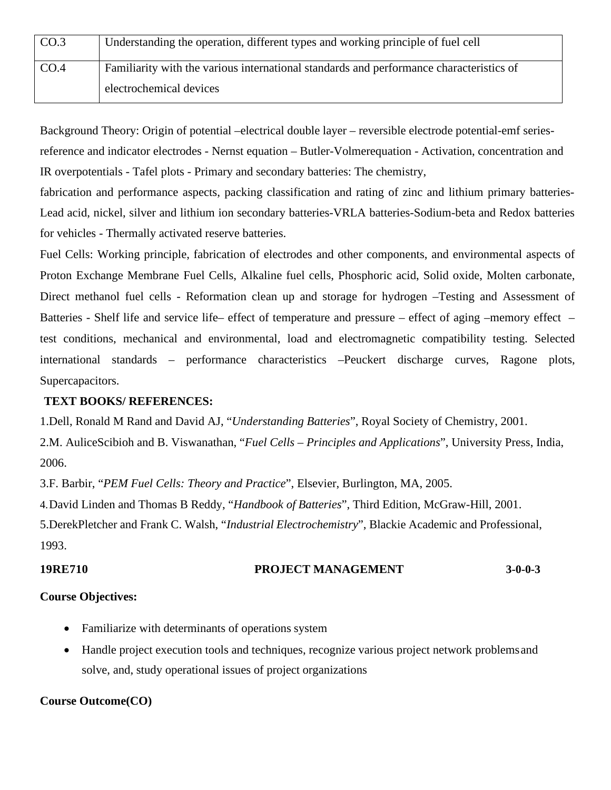| CO.3 | Understanding the operation, different types and working principle of fuel cell         |
|------|-----------------------------------------------------------------------------------------|
| CO.4 | Familiarity with the various international standards and performance characteristics of |
|      | electrochemical devices                                                                 |

Background Theory: Origin of potential –electrical double layer – reversible electrode potential-emf seriesreference and indicator electrodes - Nernst equation – Butler-Volmerequation - Activation, concentration and IR overpotentials - Tafel plots - Primary and secondary batteries: The chemistry,

fabrication and performance aspects, packing classification and rating of zinc and lithium primary batteries-Lead acid, nickel, silver and lithium ion secondary batteries-VRLA batteries-Sodium-beta and Redox batteries for vehicles - Thermally activated reserve batteries.

Fuel Cells: Working principle, fabrication of electrodes and other components, and environmental aspects of Proton Exchange Membrane Fuel Cells, Alkaline fuel cells, Phosphoric acid, Solid oxide, Molten carbonate, Direct methanol fuel cells - Reformation clean up and storage for hydrogen –Testing and Assessment of Batteries - Shelf life and service life– effect of temperature and pressure – effect of aging –memory effect – test conditions, mechanical and environmental, load and electromagnetic compatibility testing. Selected international standards – performance characteristics –Peuckert discharge curves, Ragone plots, Supercapacitors.

## **TEXT BOOKS/ REFERENCES:**

1.Dell, Ronald M Rand and David AJ, "*Understanding Batteries*", Royal Society of Chemistry, 2001.

2.M. AuliceScibioh and B. Viswanathan, "*Fuel Cells – Principles and Applications*", University Press, India, 2006.

3.F. Barbir, "*PEM Fuel Cells: Theory and Practice*", Elsevier, Burlington, MA, 2005.

4.David Linden and Thomas B Reddy, "*Handbook of Batteries*", Third Edition, McGraw-Hill, 2001.

5.DerekPletcher and Frank C. Walsh, "*Industrial Electrochemistry*", Blackie Academic and Professional, 1993.

# **19RE710 PROJECT MANAGEMENT 3-0-0-3**

# **Course Objectives:**

- Familiarize with determinants of operations system
- Handle project execution tools and techniques, recognize various project network problemsand solve, and, study operational issues of project organizations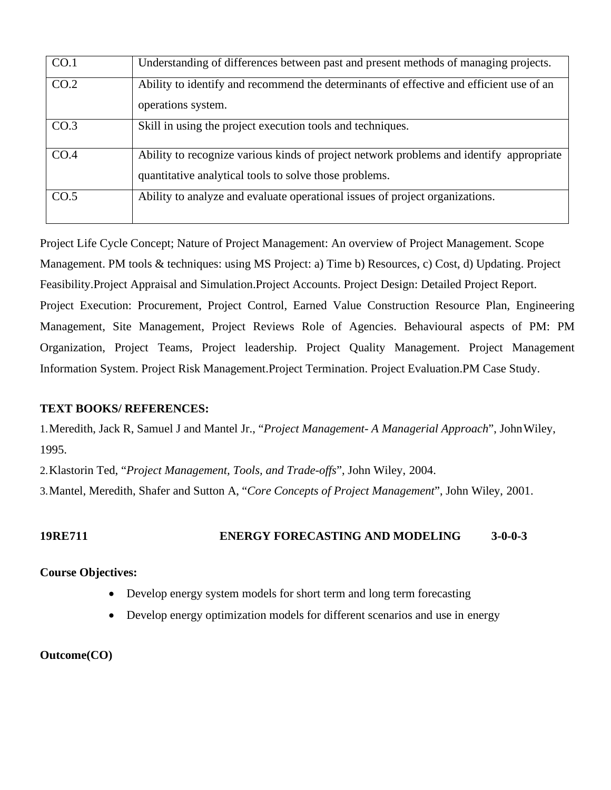| CO.1 | Understanding of differences between past and present methods of managing projects.                                                               |  |  |  |
|------|---------------------------------------------------------------------------------------------------------------------------------------------------|--|--|--|
| CO.2 | Ability to identify and recommend the determinants of effective and efficient use of an<br>operations system.                                     |  |  |  |
| CO.3 | Skill in using the project execution tools and techniques.                                                                                        |  |  |  |
| CO.4 | Ability to recognize various kinds of project network problems and identify appropriate<br>quantitative analytical tools to solve those problems. |  |  |  |
| CO.5 | Ability to analyze and evaluate operational issues of project organizations.                                                                      |  |  |  |

Project Life Cycle Concept; Nature of Project Management: An overview of Project Management. Scope Management. PM tools & techniques: using MS Project: a) Time b) Resources, c) Cost, d) Updating. Project Feasibility.Project Appraisal and Simulation.Project Accounts. Project Design: Detailed Project Report. Project Execution: Procurement, Project Control, Earned Value Construction Resource Plan, Engineering Management, Site Management, Project Reviews Role of Agencies. Behavioural aspects of PM: PM Organization, Project Teams, Project leadership. Project Quality Management. Project Management Information System. Project Risk Management.Project Termination. Project Evaluation.PM Case Study.

# **TEXT BOOKS/ REFERENCES:**

1.Meredith, Jack R, Samuel J and Mantel Jr., "*Project Management- A Managerial Approach*", JohnWiley, 1995.

2.Klastorin Ted, "*Project Management, Tools, and Trade-offs*", John Wiley, 2004.

3.Mantel, Meredith, Shafer and Sutton A, "*Core Concepts of Project Management*", John Wiley, 2001.

# **19RE711 ENERGY FORECASTING AND MODELING 3-0-0-3**

# **Course Objectives:**

- Develop energy system models for short term and long term forecasting
- Develop energy optimization models for different scenarios and use in energy

# **Outcome(CO)**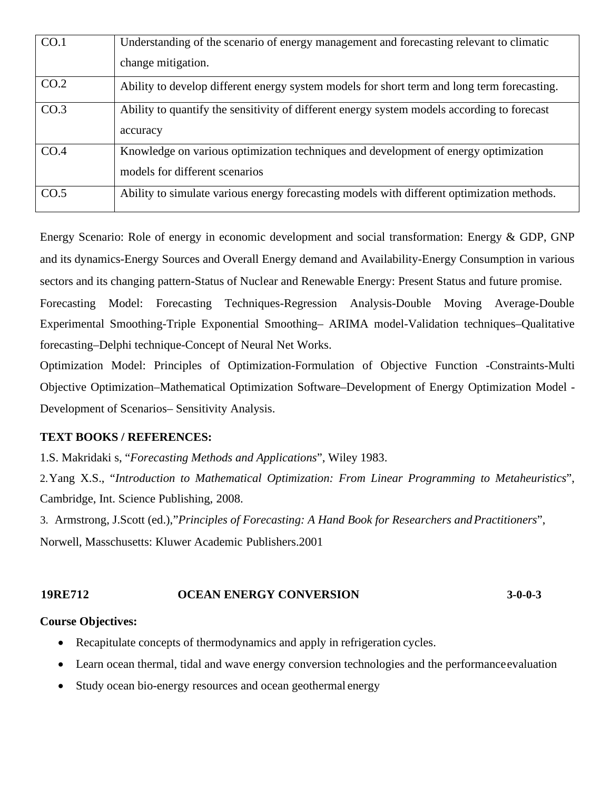| CO.1 | Understanding of the scenario of energy management and forecasting relevant to climatic<br>change mitigation.         |
|------|-----------------------------------------------------------------------------------------------------------------------|
| CO.2 | Ability to develop different energy system models for short term and long term forecasting.                           |
| CO.3 | Ability to quantify the sensitivity of different energy system models according to forecast<br>accuracy               |
| CO.4 | Knowledge on various optimization techniques and development of energy optimization<br>models for different scenarios |
| CO.5 | Ability to simulate various energy forecasting models with different optimization methods.                            |

Energy Scenario: Role of energy in economic development and social transformation: Energy & GDP, GNP and its dynamics-Energy Sources and Overall Energy demand and Availability-Energy Consumption in various sectors and its changing pattern-Status of Nuclear and Renewable Energy: Present Status and future promise.

Forecasting Model: Forecasting Techniques-Regression Analysis-Double Moving Average-Double Experimental Smoothing-Triple Exponential Smoothing– ARIMA model-Validation techniques–Qualitative forecasting–Delphi technique-Concept of Neural Net Works.

Optimization Model: Principles of Optimization-Formulation of Objective Function -Constraints-Multi Objective Optimization–Mathematical Optimization Software–Development of Energy Optimization Model - Development of Scenarios– Sensitivity Analysis.

# **TEXT BOOKS / REFERENCES:**

1.S. Makridaki s, "*Forecasting Methods and Applications*", Wiley 1983.

2.Yang X.S., "*Introduction to Mathematical Optimization: From Linear Programming to Metaheuristics*", Cambridge, Int. Science Publishing, 2008.

3. Armstrong, J.Scott (ed.),"*Principles of Forecasting: A Hand Book for Researchers andPractitioners*", Norwell, Masschusetts: Kluwer Academic Publishers.2001

# **19RE712 OCEAN ENERGY CONVERSION 3-0-0-3**

### **Course Objectives:**

- Recapitulate concepts of thermodynamics and apply in refrigeration cycles.
- Learn ocean thermal, tidal and wave energy conversion technologies and the performance evaluation
- Study ocean bio-energy resources and ocean geothermal energy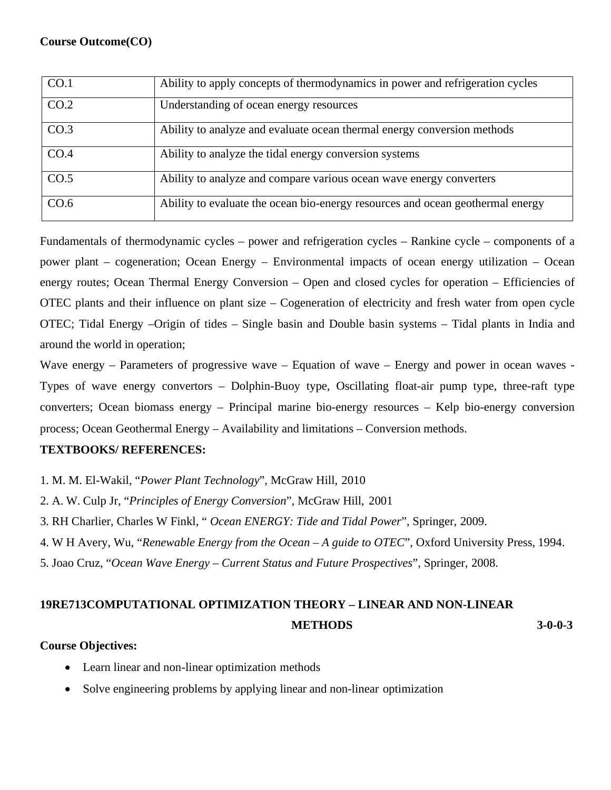| CO.1 | Ability to apply concepts of thermodynamics in power and refrigeration cycles  |  |  |  |
|------|--------------------------------------------------------------------------------|--|--|--|
| CO.2 | Understanding of ocean energy resources                                        |  |  |  |
| CO.3 | Ability to analyze and evaluate ocean thermal energy conversion methods        |  |  |  |
| CO.4 | Ability to analyze the tidal energy conversion systems                         |  |  |  |
| CO.5 | Ability to analyze and compare various ocean wave energy converters            |  |  |  |
| CO.6 | Ability to evaluate the ocean bio-energy resources and ocean geothermal energy |  |  |  |

Fundamentals of thermodynamic cycles – power and refrigeration cycles – Rankine cycle – components of a power plant – cogeneration; Ocean Energy – Environmental impacts of ocean energy utilization – Ocean energy routes; Ocean Thermal Energy Conversion – Open and closed cycles for operation – Efficiencies of OTEC plants and their influence on plant size – Cogeneration of electricity and fresh water from open cycle OTEC; Tidal Energy –Origin of tides – Single basin and Double basin systems – Tidal plants in India and around the world in operation;

Wave energy – Parameters of progressive wave – Equation of wave – Energy and power in ocean waves -Types of wave energy convertors – Dolphin-Buoy type, Oscillating float-air pump type, three-raft type converters; Ocean biomass energy – Principal marine bio-energy resources – Kelp bio-energy conversion process; Ocean Geothermal Energy – Availability and limitations – Conversion methods.

# **TEXTBOOKS/ REFERENCES:**

- 1. M. M. El-Wakil, "*Power Plant Technology*", McGraw Hill, 2010
- 2. A. W. Culp Jr, "*Principles of Energy Conversion*", McGraw Hill, 2001
- 3. RH Charlier, Charles W Finkl, " *Ocean ENERGY: Tide and Tidal Power*", Springer, 2009.
- 4. W H Avery, Wu, "*Renewable Energy from the Ocean – A guide to OTEC*", Oxford University Press, 1994.
- 5. Joao Cruz, "*Ocean Wave Energy – Current Status and Future Prospectives*", Springer, 2008.

# **19RE713COMPUTATIONAL OPTIMIZATION THEORY – LINEAR AND NON-LINEAR METHODS 3-0-0-3**

# **Course Objectives:**

- Learn linear and non-linear optimization methods
- Solve engineering problems by applying linear and non-linear optimization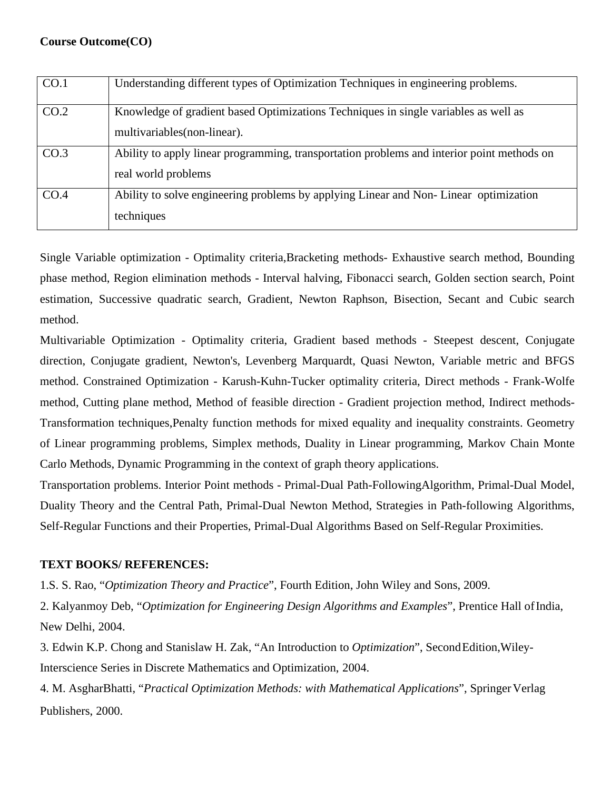| CO.1 | Understanding different types of Optimization Techniques in engineering problems.                                   |
|------|---------------------------------------------------------------------------------------------------------------------|
| CO.2 | Knowledge of gradient based Optimizations Techniques in single variables as well as<br>multivariables (non-linear). |
| CO.3 | Ability to apply linear programming, transportation problems and interior point methods on<br>real world problems   |
| CO.4 | Ability to solve engineering problems by applying Linear and Non-Linear optimization<br>techniques                  |

Single Variable optimization - Optimality criteria,Bracketing methods- Exhaustive search method, Bounding phase method, Region elimination methods - Interval halving, Fibonacci search, Golden section search, Point estimation, Successive quadratic search, Gradient, Newton Raphson, Bisection, Secant and Cubic search method.

Multivariable Optimization - Optimality criteria, Gradient based methods - Steepest descent, Conjugate direction, Conjugate gradient, Newton's, Levenberg Marquardt, Quasi Newton, Variable metric and BFGS method. Constrained Optimization - Karush-Kuhn-Tucker optimality criteria, Direct methods - Frank-Wolfe method, Cutting plane method, Method of feasible direction - Gradient projection method, Indirect methods-Transformation techniques,Penalty function methods for mixed equality and inequality constraints. Geometry of Linear programming problems, Simplex methods, Duality in Linear programming, Markov Chain Monte Carlo Methods, Dynamic Programming in the context of graph theory applications.

Transportation problems. Interior Point methods - Primal-Dual Path-FollowingAlgorithm, Primal-Dual Model, Duality Theory and the Central Path, Primal-Dual Newton Method, Strategies in Path-following Algorithms, Self-Regular Functions and their Properties, Primal-Dual Algorithms Based on Self-Regular Proximities.

# **TEXT BOOKS/ REFERENCES:**

1.S. S. Rao, "*Optimization Theory and Practice*", Fourth Edition, John Wiley and Sons, 2009.

2. Kalyanmoy Deb, "*Optimization for Engineering Design Algorithms and Examples*", Prentice Hall ofIndia, New Delhi, 2004.

3. Edwin K.P. Chong and Stanislaw H. Zak, "An Introduction to *Optimization*", SecondEdition,Wiley-Interscience Series in Discrete Mathematics and Optimization, 2004.

4. M. AsgharBhatti, "*Practical Optimization Methods: with Mathematical Applications*", SpringerVerlag Publishers, 2000.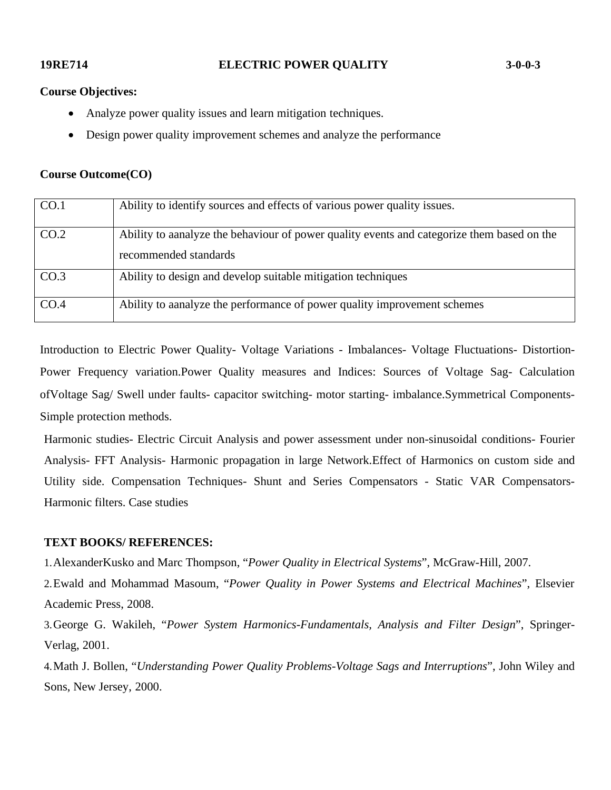#### **Course Objectives:**

- Analyze power quality issues and learn mitigation techniques.
- Design power quality improvement schemes and analyze the performance

#### **Course Outcome(CO)**

| CO.1 | Ability to identify sources and effects of various power quality issues.                                             |
|------|----------------------------------------------------------------------------------------------------------------------|
| CO.2 | Ability to a analyze the behaviour of power quality events and categorize them based on the<br>recommended standards |
| CO.3 | Ability to design and develop suitable mitigation techniques                                                         |
| CO.4 | Ability to a analyze the performance of power quality improvement schemes                                            |

Introduction to Electric Power Quality- Voltage Variations - Imbalances- Voltage Fluctuations- Distortion-Power Frequency variation.Power Quality measures and Indices: Sources of Voltage Sag- Calculation ofVoltage Sag/ Swell under faults- capacitor switching- motor starting- imbalance.Symmetrical Components-Simple protection methods.

Harmonic studies- Electric Circuit Analysis and power assessment under non-sinusoidal conditions- Fourier Analysis- FFT Analysis- Harmonic propagation in large Network.Effect of Harmonics on custom side and Utility side. Compensation Techniques- Shunt and Series Compensators - Static VAR Compensators-Harmonic filters. Case studies

#### **TEXT BOOKS/ REFERENCES:**

1.AlexanderKusko and Marc Thompson, "*Power Quality in Electrical Systems*", McGraw-Hill, 2007.

2.Ewald and Mohammad Masoum, "*Power Quality in Power Systems and Electrical Machines*", Elsevier Academic Press, 2008.

3.George G. Wakileh, "*Power System Harmonics-Fundamentals, Analysis and Filter Design*", Springer-Verlag, 2001.

4.Math J. Bollen, "*Understanding Power Quality Problems-Voltage Sags and Interruptions*", John Wiley and Sons, New Jersey, 2000.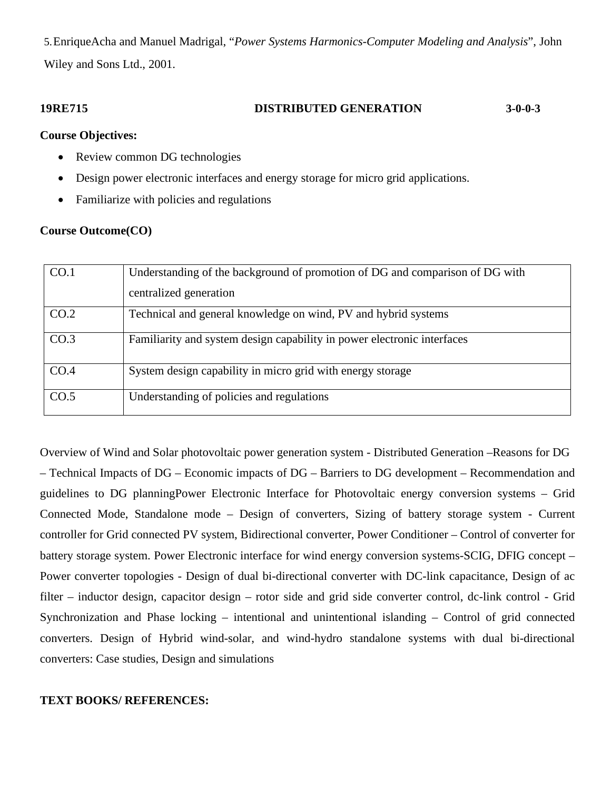5.EnriqueAcha and Manuel Madrigal, "*Power Systems Harmonics-Computer Modeling and Analysis*", John Wiley and Sons Ltd., 2001.

## **19RE715 DISTRIBUTED GENERATION 3-0-0-3**

#### **Course Objectives:**

- Review common DG technologies
- Design power electronic interfaces and energy storage for micro grid applications.
- Familiarize with policies and regulations

### **Course Outcome(CO)**

| CO.1             | Understanding of the background of promotion of DG and comparison of DG with<br>centralized generation |  |  |
|------------------|--------------------------------------------------------------------------------------------------------|--|--|
| CO.2             | Technical and general knowledge on wind, PV and hybrid systems                                         |  |  |
| CO <sub>.3</sub> | Familiarity and system design capability in power electronic interfaces                                |  |  |
| CO.4             | System design capability in micro grid with energy storage                                             |  |  |
| CO.5             | Understanding of policies and regulations                                                              |  |  |

Overview of Wind and Solar photovoltaic power generation system - Distributed Generation –Reasons for DG – Technical Impacts of DG – Economic impacts of DG – Barriers to DG development – Recommendation and guidelines to DG planningPower Electronic Interface for Photovoltaic energy conversion systems – Grid Connected Mode, Standalone mode – Design of converters, Sizing of battery storage system - Current controller for Grid connected PV system, Bidirectional converter, Power Conditioner – Control of converter for battery storage system. Power Electronic interface for wind energy conversion systems-SCIG, DFIG concept – Power converter topologies - Design of dual bi-directional converter with DC-link capacitance, Design of ac filter – inductor design, capacitor design – rotor side and grid side converter control, dc-link control - Grid Synchronization and Phase locking – intentional and unintentional islanding – Control of grid connected converters. Design of Hybrid wind-solar, and wind-hydro standalone systems with dual bi-directional converters: Case studies, Design and simulations

### **TEXT BOOKS/ REFERENCES:**